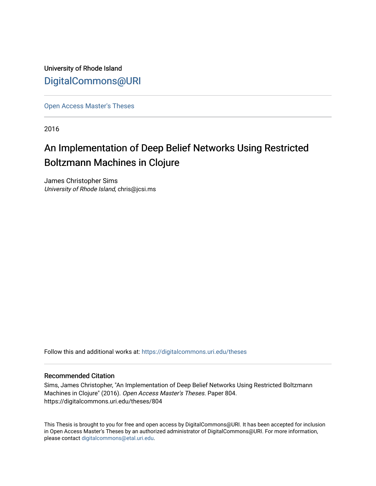University of Rhode Island [DigitalCommons@URI](https://digitalcommons.uri.edu/) 

[Open Access Master's Theses](https://digitalcommons.uri.edu/theses) 

2016

# An Implementation of Deep Belief Networks Using Restricted Boltzmann Machines in Clojure

James Christopher Sims University of Rhode Island, chris@jcsi.ms

Follow this and additional works at: [https://digitalcommons.uri.edu/theses](https://digitalcommons.uri.edu/theses?utm_source=digitalcommons.uri.edu%2Ftheses%2F804&utm_medium=PDF&utm_campaign=PDFCoverPages)

## Recommended Citation

Sims, James Christopher, "An Implementation of Deep Belief Networks Using Restricted Boltzmann Machines in Clojure" (2016). Open Access Master's Theses. Paper 804. https://digitalcommons.uri.edu/theses/804

This Thesis is brought to you for free and open access by DigitalCommons@URI. It has been accepted for inclusion in Open Access Master's Theses by an authorized administrator of DigitalCommons@URI. For more information, please contact [digitalcommons@etal.uri.edu.](mailto:digitalcommons@etal.uri.edu)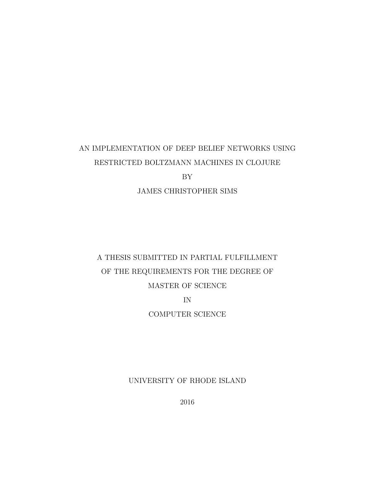# <span id="page-1-0"></span>AN IMPLEMENTATION OF DEEP BELIEF NETWORKS USING RESTRICTED BOLTZMANN MACHINES IN CLOJURE BY JAMES CHRISTOPHER SIMS

# A THESIS SUBMITTED IN PARTIAL FULFILLMENT OF THE REQUIREMENTS FOR THE DEGREE OF MASTER OF SCIENCE IN

COMPUTER SCIENCE

UNIVERSITY OF RHODE ISLAND

2016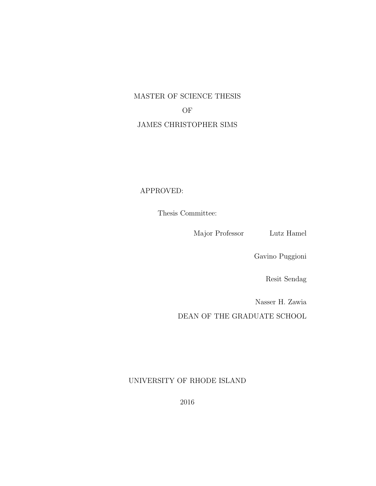# MASTER OF SCIENCE THESIS OF JAMES CHRISTOPHER SIMS

## APPROVED:

Thesis Committee:

Major Professor Lutz Hamel

Gavino Puggioni

Resit Sendag

Nasser H. Zawia

DEAN OF THE GRADUATE SCHOOL

## UNIVERSITY OF RHODE ISLAND

2016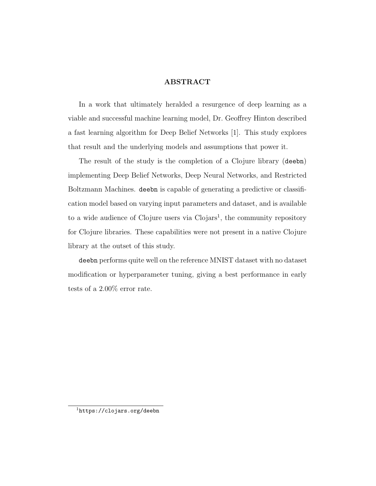## ABSTRACT

In a work that ultimately heralded a resurgence of deep learning as a viable and successful machine learning model, Dr. Geoffrey Hinton described a fast learning algorithm for Deep Belief Networks [\[1\]](#page-60-0). This study explores that result and the underlying models and assumptions that power it.

The result of the study is the completion of a Clojure library (deebn) implementing Deep Belief Networks, Deep Neural Networks, and Restricted Boltzmann Machines. deebn is capable of generating a predictive or classification model based on varying input parameters and dataset, and is available to a wide audience of Clojure users via  $\text{Clojars}^1$  $\text{Clojars}^1$ , the community repository for Clojure libraries. These capabilities were not present in a native Clojure library at the outset of this study.

deebn performs quite well on the reference MNIST dataset with no dataset modification or hyperparameter tuning, giving a best performance in early tests of a 2.00% error rate.

<span id="page-3-0"></span><sup>1</sup><https://clojars.org/deebn>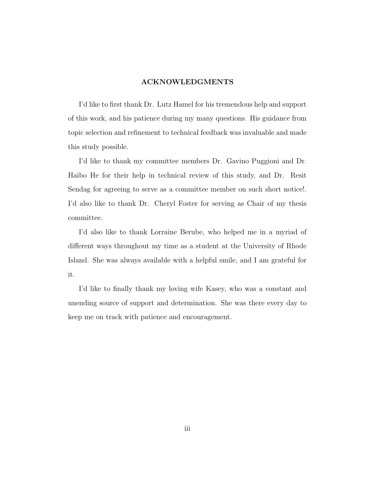### ACKNOWLEDGMENTS

I'd like to first thank Dr. Lutz Hamel for his tremendous help and support of this work, and his patience during my many questions. His guidance from topic selection and refinement to technical feedback was invaluable and made this study possible.

I'd like to thank my committee members Dr. Gavino Puggioni and Dr. Haibo He for their help in technical review of this study, and Dr. Resit Sendag for agreeing to serve as a committee member on such short notice!. I'd also like to thank Dr. Cheryl Foster for serving as Chair of my thesis committee.

I'd also like to thank Lorraine Berube, who helped me in a myriad of different ways throughout my time as a student at the University of Rhode Island. She was always available with a helpful smile, and I am grateful for it.

I'd like to finally thank my loving wife Kasey, who was a constant and unending source of support and determination. She was there every day to keep me on track with patience and encouragement.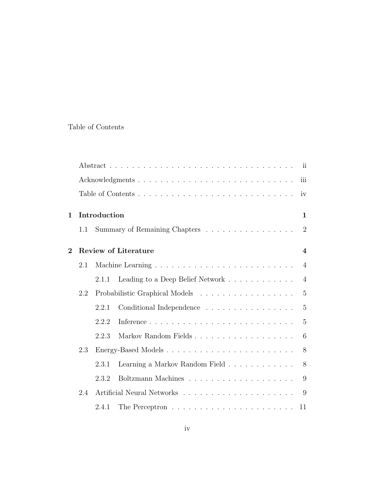## Table of Contents

|                |     |              | ii                                                                      |  |
|----------------|-----|--------------|-------------------------------------------------------------------------|--|
|                |     |              | iii                                                                     |  |
|                |     |              | iv                                                                      |  |
| $\mathbf 1$    |     | Introduction | $\mathbf{1}$                                                            |  |
|                | 1.1 |              | $\overline{2}$<br>Summary of Remaining Chapters                         |  |
| $\overline{2}$ |     |              | <b>Review of Literature</b><br>$\overline{\mathbf{4}}$                  |  |
|                | 2.1 |              | $\overline{4}$                                                          |  |
|                |     | 2.1.1        | Leading to a Deep Belief Network<br>$\overline{4}$                      |  |
|                | 2.2 |              | Probabilistic Graphical Models<br>$\overline{5}$                        |  |
|                |     | 2.2.1        | $\overline{5}$<br>Conditional Independence                              |  |
|                |     | 2.2.2        | $\overline{5}$                                                          |  |
|                |     | 2.2.3        | Markov Random Fields<br>6                                               |  |
|                | 2.3 |              | 8                                                                       |  |
|                |     | 2.3.1        | 8<br>Learning a Markov Random Field                                     |  |
|                |     | 2.3.2        | 9                                                                       |  |
|                | 2.4 |              | 9                                                                       |  |
|                |     | 2.4.1        | The Perceptron $\ldots \ldots \ldots \ldots \ldots \ldots \ldots$<br>11 |  |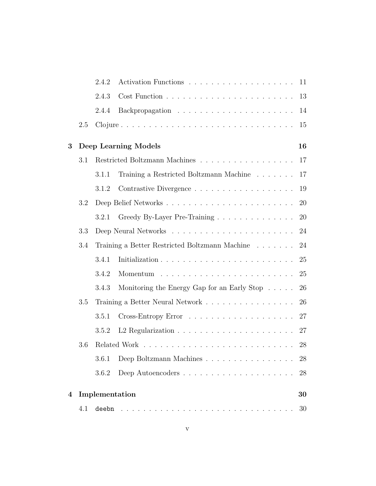|   |     | 2.4.2          |                                                                | 11        |
|---|-----|----------------|----------------------------------------------------------------|-----------|
|   |     | 2.4.3          |                                                                | 13        |
|   |     | 2.4.4          |                                                                | 14        |
|   | 2.5 |                |                                                                | 15        |
| 3 |     |                | Deep Learning Models                                           | 16        |
|   | 3.1 |                | Restricted Boltzmann Machines                                  | 17        |
|   |     | 3.1.1          | Training a Restricted Boltzmann Machine                        | 17        |
|   |     | 3.1.2          |                                                                | 19        |
|   | 3.2 |                |                                                                | <b>20</b> |
|   |     | 3.2.1          | Greedy By-Layer Pre-Training                                   | 20        |
|   | 3.3 |                |                                                                | 24        |
|   | 3.4 |                | Training a Better Restricted Boltzmann Machine $\ldots \ldots$ | 24        |
|   |     | 3.4.1          |                                                                | 25        |
|   |     | 3.4.2          |                                                                | 25        |
|   |     | 3.4.3          | Monitoring the Energy Gap for an Early Stop $\dots$ .          | 26        |
|   | 3.5 |                |                                                                | 26        |
|   |     | 3.5.1          |                                                                | 27        |
|   |     | 3.5.2          |                                                                | 27        |
|   | 3.6 |                |                                                                | 28        |
|   |     | 3.6.1          | Deep Boltzmann Machines                                        | 28        |
|   |     | 3.6.2          |                                                                | 28        |
| 4 |     | Implementation |                                                                | 30        |
|   | 4.1 |                |                                                                | 30        |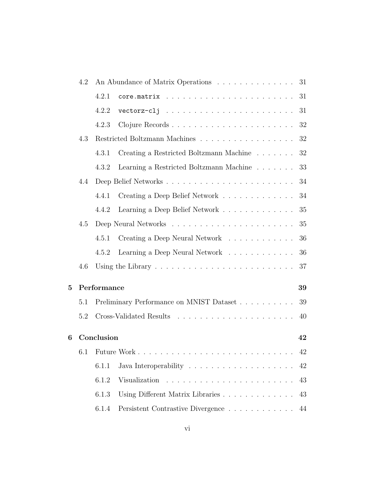|   | 4.2 |             | An Abundance of Matrix Operations<br>31                                                                                                |
|---|-----|-------------|----------------------------------------------------------------------------------------------------------------------------------------|
|   |     | 4.2.1       | 31                                                                                                                                     |
|   |     | 4.2.2       | 31                                                                                                                                     |
|   |     | 4.2.3       | Clojure Records<br>32                                                                                                                  |
|   | 4.3 |             | Restricted Boltzmann Machines<br>32                                                                                                    |
|   |     | 4.3.1       | 32<br>Creating a Restricted Boltzmann Machine                                                                                          |
|   |     | 4.3.2       | Learning a Restricted Boltzmann Machine<br>33                                                                                          |
|   | 4.4 |             | 34                                                                                                                                     |
|   |     | 4.4.1       | Creating a Deep Belief Network<br>34                                                                                                   |
|   |     | 4.4.2       | Learning a Deep Belief Network<br>35                                                                                                   |
|   | 4.5 |             | 35                                                                                                                                     |
|   |     | 4.5.1       | Creating a Deep Neural Network<br>36                                                                                                   |
|   |     | 4.5.2       | Learning a Deep Neural Network<br>36                                                                                                   |
|   | 4.6 |             | 37                                                                                                                                     |
| 5 |     | Performance | 39                                                                                                                                     |
|   | 5.1 |             | 39                                                                                                                                     |
|   | 5.2 |             | 40                                                                                                                                     |
| 6 |     | Conclusion  | 42                                                                                                                                     |
|   | 6.1 |             | 42                                                                                                                                     |
|   |     |             |                                                                                                                                        |
|   |     | 6.1.1       | 42                                                                                                                                     |
|   |     | 6.1.2       | 43<br>Visualization<br>and a series of the contract of the contract of the contract of the contract of the contract of the contract of |
|   |     | 6.1.3       | 43                                                                                                                                     |
|   |     | 6.1.4       | Persistent Contrastive Divergence<br>44                                                                                                |
|   |     |             |                                                                                                                                        |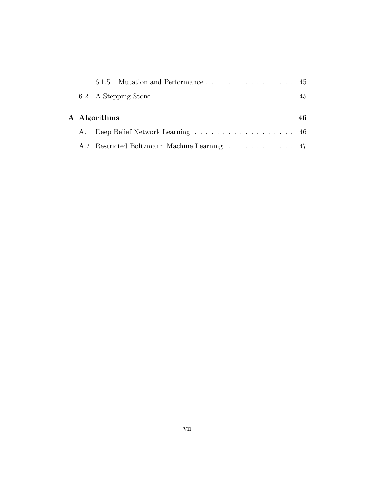|  | A Algorithms                                 | 46 |
|--|----------------------------------------------|----|
|  | A.1 Deep Belief Network Learning 46          |    |
|  | A.2 Restricted Boltzmann Machine Learning 47 |    |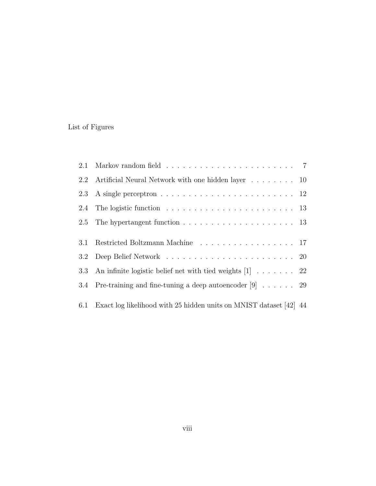## List of Figures

|     | 2.2 Artificial Neural Network with one hidden layer 10                                        |  |
|-----|-----------------------------------------------------------------------------------------------|--|
| 2.3 |                                                                                               |  |
|     | 2.4 The logistic function $\ldots \ldots \ldots \ldots \ldots \ldots \ldots \ldots \ldots$ 13 |  |
|     | 2.5 The hypertangent function $\ldots \ldots \ldots \ldots \ldots \ldots \ldots \ldots$ 13    |  |
|     |                                                                                               |  |
| 3.1 | Restricted Boltzmann Machine 17                                                               |  |
| 3.2 |                                                                                               |  |
|     | 3.3 An infinite logistic belief net with tied weights $[1]$ 22                                |  |
|     | 3.4 Pre-training and fine-tuning a deep autoencoder $[9]$ 29                                  |  |
| 6.1 | Exact log likelihood with 25 hidden units on MNIST dataset [42] 44                            |  |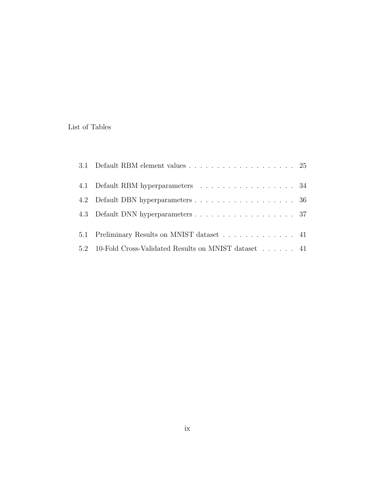## List of Tables

| 4.1 Default RBM hyperparameters 34                       |  |
|----------------------------------------------------------|--|
|                                                          |  |
|                                                          |  |
|                                                          |  |
| 5.1 Preliminary Results on MNIST dataset 41              |  |
| 5.2 10-Fold Cross-Validated Results on MNIST dataset  41 |  |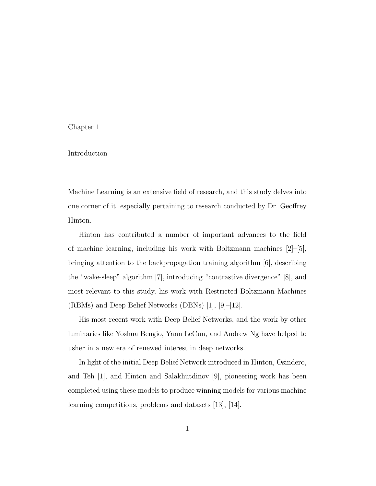#### <span id="page-11-0"></span>Chapter 1

## Introduction

Machine Learning is an extensive field of research, and this study delves into one corner of it, especially pertaining to research conducted by Dr. Geoffrey Hinton.

Hinton has contributed a number of important advances to the field of machine learning, including his work with Boltzmann machines [\[2\]](#page-60-1)–[\[5\]](#page-60-2), bringing attention to the backpropagation training algorithm [\[6\]](#page-60-3), describing the "wake-sleep" algorithm [\[7\]](#page-60-4), introducing "contrastive divergence" [\[8\]](#page-61-1), and most relevant to this study, his work with Restricted Boltzmann Machines (RBMs) and Deep Belief Networks (DBNs) [\[1\]](#page-60-0), [\[9\]](#page-61-0)–[\[12\]](#page-61-2).

His most recent work with Deep Belief Networks, and the work by other luminaries like Yoshua Bengio, Yann LeCun, and Andrew Ng have helped to usher in a new era of renewed interest in deep networks.

In light of the initial Deep Belief Network introduced in Hinton, Osindero, and Teh [\[1\]](#page-60-0), and Hinton and Salakhutdinov [\[9\]](#page-61-0), pioneering work has been completed using these models to produce winning models for various machine learning competitions, problems and datasets [\[13\]](#page-61-3), [\[14\]](#page-61-4).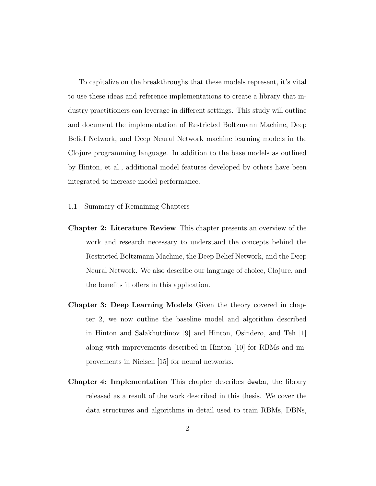To capitalize on the breakthroughs that these models represent, it's vital to use these ideas and reference implementations to create a library that industry practitioners can leverage in different settings. This study will outline and document the implementation of Restricted Boltzmann Machine, Deep Belief Network, and Deep Neural Network machine learning models in the Clojure programming language. In addition to the base models as outlined by Hinton, et al., additional model features developed by others have been integrated to increase model performance.

- <span id="page-12-0"></span>1.1 Summary of Remaining Chapters
- Chapter [2:](#page-14-0) Literature Review This chapter presents an overview of the work and research necessary to understand the concepts behind the Restricted Boltzmann Machine, the Deep Belief Network, and the Deep Neural Network. We also describe our language of choice, Clojure, and the benefits it offers in this application.
- Chapter [3:](#page-26-0) Deep Learning Models Given the theory covered in [chap](#page-14-0)[ter 2,](#page-14-0) we now outline the baseline model and algorithm described in Hinton and Salakhutdinov [\[9\]](#page-61-0) and Hinton, Osindero, and Teh [\[1\]](#page-60-0) along with improvements described in Hinton [\[10\]](#page-61-5) for RBMs and improvements in Nielsen [\[15\]](#page-61-6) for neural networks.
- Chapter [4:](#page-40-0) Implementation This chapter describes deebn, the library released as a result of the work described in this thesis. We cover the data structures and algorithms in detail used to train RBMs, DBNs,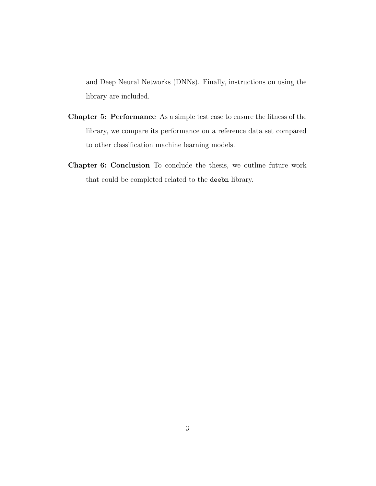and Deep Neural Networks (DNNs). Finally, instructions on using the library are included.

- Chapter [5:](#page-49-0) Performance As a simple test case to ensure the fitness of the library, we compare its performance on a reference data set compared to other classification machine learning models.
- Chapter [6:](#page-52-0) Conclusion To conclude the thesis, we outline future work that could be completed related to the deebn library.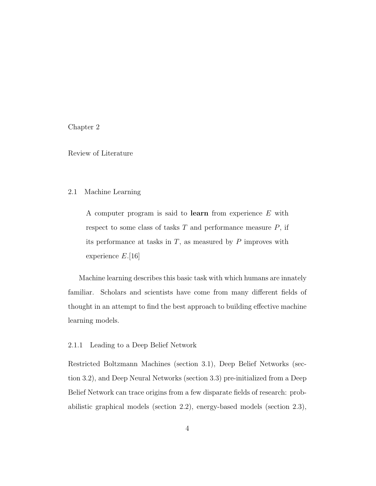<span id="page-14-0"></span>Chapter 2

Review of Literature

## <span id="page-14-1"></span>2.1 Machine Learning

A computer program is said to learn from experience E with respect to some class of tasks  $T$  and performance measure  $P$ , if its performance at tasks in  $T$ , as measured by  $P$  improves with experience  $E.$ [\[16\]](#page-61-7)

Machine learning describes this basic task with which humans are innately familiar. Scholars and scientists have come from many different fields of thought in an attempt to find the best approach to building effective machine learning models.

#### <span id="page-14-2"></span>2.1.1 Leading to a Deep Belief Network

Restricted Boltzmann Machines [\(section 3.1\)](#page-27-0), Deep Belief Networks [\(sec](#page-30-0)[tion 3.2\)](#page-30-0), and Deep Neural Networks [\(section 3.3\)](#page-34-0) pre-initialized from a Deep Belief Network can trace origins from a few disparate fields of research: probabilistic graphical models [\(section 2.2\)](#page-15-0), energy-based models [\(section 2.3\)](#page-18-0),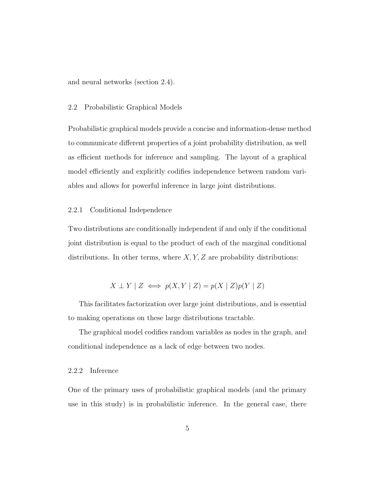and neural networks [\(section 2.4\)](#page-19-1).

#### <span id="page-15-0"></span>2.2 Probabilistic Graphical Models

Probabilistic graphical models provide a concise and information-dense method to communicate different properties of a joint probability distribution, as well as efficient methods for inference and sampling. The layout of a graphical model efficiently and explicitly codifies independence between random variables and allows for powerful inference in large joint distributions.

#### <span id="page-15-1"></span>2.2.1 Conditional Independence

Two distributions are conditionally independent if and only if the conditional joint distribution is equal to the product of each of the marginal conditional distributions. In other terms, where  $X, Y, Z$  are probability distributions:

$$
X \perp Y \mid Z \iff p(X, Y \mid Z) = p(X \mid Z)p(Y \mid Z)
$$

This facilitates factorization over large joint distributions, and is essential to making operations on these large distributions tractable.

The graphical model codifies random variables as nodes in the graph, and conditional independence as a lack of edge between two nodes.

## <span id="page-15-2"></span>2.2.2 Inference

One of the primary uses of probabilistic graphical models (and the primary use in this study) is in probabilistic inference. In the general case, there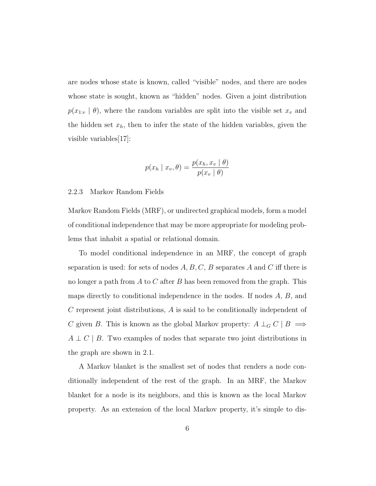are nodes whose state is known, called "visible" nodes, and there are nodes whose state is sought, known as "hidden" nodes. Given a joint distribution  $p(x_{1:v} | \theta)$ , where the random variables are split into the visible set  $x_v$  and the hidden set  $x_h$ , then to infer the state of the hidden variables, given the visible variables[\[17\]](#page-61-8):

$$
p(x_h | x_v, \theta) = \frac{p(x_h, x_v | \theta)}{p(x_v | \theta)}
$$

#### <span id="page-16-0"></span>2.2.3 Markov Random Fields

Markov Random Fields (MRF), or undirected graphical models, form a model of conditional independence that may be more appropriate for modeling problems that inhabit a spatial or relational domain.

To model conditional independence in an MRF, the concept of graph separation is used: for sets of nodes  $A, B, C, B$  separates A and C iff there is no longer a path from  $A$  to  $C$  after  $B$  has been removed from the graph. This maps directly to conditional independence in the nodes. If nodes  $A, B$ , and C represent joint distributions, A is said to be conditionally independent of C given B. This is known as the global Markov property:  $A \perp_G C \mid B \implies$  $A \perp C \mid B$ . Two examples of nodes that separate two joint distributions in the graph are shown in [2.1.](#page-17-0)

A Markov blanket is the smallest set of nodes that renders a node conditionally independent of the rest of the graph. In an MRF, the Markov blanket for a node is its neighbors, and this is known as the local Markov property. As an extension of the local Markov property, it's simple to dis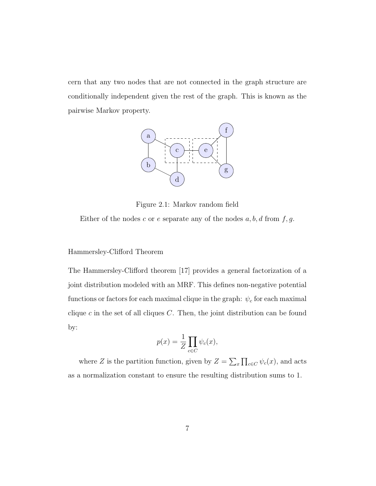cern that any two nodes that are not connected in the graph structure are conditionally independent given the rest of the graph. This is known as the pairwise Markov property.



Figure 2.1: Markov random field

<span id="page-17-0"></span>Either of the nodes c or e separate any of the nodes  $a, b, d$  from  $f, g$ .

#### Hammersley-Clifford Theorem

The Hammersley-Clifford theorem [\[17\]](#page-61-8) provides a general factorization of a joint distribution modeled with an MRF. This defines non-negative potential functions or factors for each maximal clique in the graph:  $\psi_c$  for each maximal clique  $c$  in the set of all cliques  $C$ . Then, the joint distribution can be found by:

$$
p(x) = \frac{1}{Z} \prod_{c \in C} \psi_c(x),
$$

where Z is the partition function, given by  $Z = \sum_{x} \prod_{c \in C} \psi_c(x)$ , and acts as a normalization constant to ensure the resulting distribution sums to 1.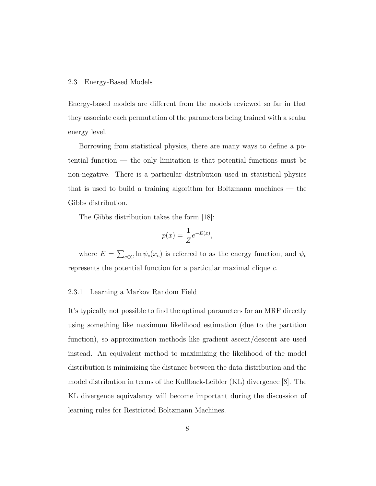#### <span id="page-18-0"></span>2.3 Energy-Based Models

Energy-based models are different from the models reviewed so far in that they associate each permutation of the parameters being trained with a scalar energy level.

Borrowing from statistical physics, there are many ways to define a potential function — the only limitation is that potential functions must be non-negative. There is a particular distribution used in statistical physics that is used to build a training algorithm for Boltzmann machines — the Gibbs distribution.

The Gibbs distribution takes the form [\[18\]](#page-61-9):

$$
p(x) = \frac{1}{Z}e^{-E(x)},
$$

where  $E = \sum_{c \in C} \ln \psi_c(x_c)$  is referred to as the energy function, and  $\psi_c$ represents the potential function for a particular maximal clique c.

#### <span id="page-18-1"></span>2.3.1 Learning a Markov Random Field

It's typically not possible to find the optimal parameters for an MRF directly using something like maximum likelihood estimation (due to the partition function), so approximation methods like gradient ascent/descent are used instead. An equivalent method to maximizing the likelihood of the model distribution is minimizing the distance between the data distribution and the model distribution in terms of the Kullback-Leibler (KL) divergence [\[8\]](#page-61-1). The KL divergence equivalency will become important during the discussion of learning rules for Restricted Boltzmann Machines.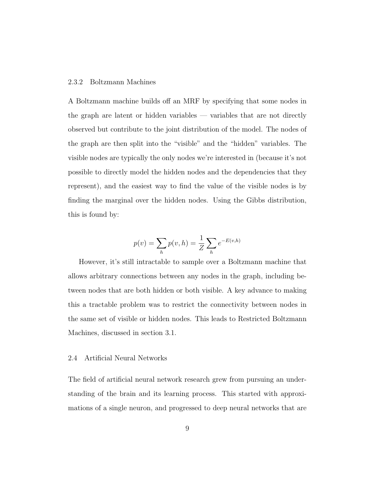#### <span id="page-19-0"></span>2.3.2 Boltzmann Machines

A Boltzmann machine builds off an MRF by specifying that some nodes in the graph are latent or hidden variables — variables that are not directly observed but contribute to the joint distribution of the model. The nodes of the graph are then split into the "visible" and the "hidden" variables. The visible nodes are typically the only nodes we're interested in (because it's not possible to directly model the hidden nodes and the dependencies that they represent), and the easiest way to find the value of the visible nodes is by finding the marginal over the hidden nodes. Using the Gibbs distribution, this is found by:

$$
p(v) = \sum_{h} p(v, h) = \frac{1}{Z} \sum_{h} e^{-E(v, h)}
$$

However, it's still intractable to sample over a Boltzmann machine that allows arbitrary connections between any nodes in the graph, including between nodes that are both hidden or both visible. A key advance to making this a tractable problem was to restrict the connectivity between nodes in the same set of visible or hidden nodes. This leads to Restricted Boltzmann Machines, discussed in [section 3.1.](#page-27-0)

#### <span id="page-19-1"></span>2.4 Artificial Neural Networks

The field of artificial neural network research grew from pursuing an understanding of the brain and its learning process. This started with approximations of a single neuron, and progressed to deep neural networks that are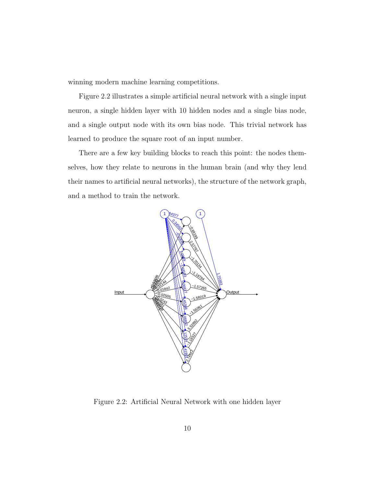winning modern machine learning competitions.

[Figure 2.2](#page-20-0) illustrates a simple artificial neural network with a single input neuron, a single hidden layer with 10 hidden nodes and a single bias node, and a single output node with its own bias node. This trivial network has learned to produce the square root of an input number.

There are a few key building blocks to reach this point: the nodes themselves, how they relate to neurons in the human brain (and why they lend their names to artificial neural networks), the structure of the network graph, and a method to train the network.



<span id="page-20-0"></span>Figure 2.2: Artificial Neural Network with one hidden layer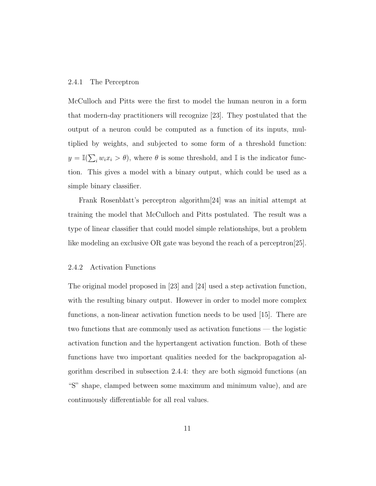#### <span id="page-21-0"></span>2.4.1 The Perceptron

McCulloch and Pitts were the first to model the human neuron in a form that modern-day practitioners will recognize [\[23\]](#page-62-0). They postulated that the output of a neuron could be computed as a function of its inputs, multiplied by weights, and subjected to some form of a threshold function:  $y = \mathbb{I}(\sum_i w_i x_i > \theta)$ , where  $\theta$  is some threshold, and I is the indicator function. This gives a model with a binary output, which could be used as a simple binary classifier.

Frank Rosenblatt's perceptron algorithm[\[24\]](#page-62-1) was an initial attempt at training the model that McCulloch and Pitts postulated. The result was a type of linear classifier that could model simple relationships, but a problem like modeling an exclusive OR gate was beyond the reach of a perceptron[\[25\]](#page-62-2).

#### <span id="page-21-1"></span>2.4.2 Activation Functions

The original model proposed in [\[23\]](#page-62-0) and [\[24\]](#page-62-1) used a step activation function, with the resulting binary output. However in order to model more complex functions, a non-linear activation function needs to be used [\[15\]](#page-61-6). There are two functions that are commonly used as activation functions — the logistic activation function and the hypertangent activation function. Both of these functions have two important qualities needed for the backpropagation algorithm described in [subsection 2.4.4:](#page-24-0) they are both sigmoid functions (an "S" shape, clamped between some maximum and minimum value), and are continuously differentiable for all real values.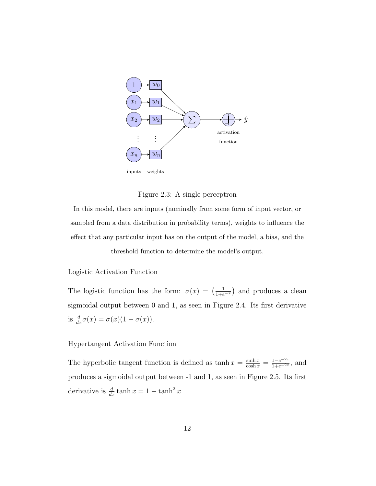

<span id="page-22-0"></span>In this model, there are inputs (nominally from some form of input vector, or sampled from a data distribution in probability terms), weights to influence the effect that any particular input has on the output of the model, a bias, and the threshold function to determine the model's output.

Figure 2.3: A single perceptron

#### Logistic Activation Function

The logistic function has the form:  $\sigma(x) = \left(\frac{1}{1+e^{-x}}\right)^{x}$  $\frac{1}{1+e^{-x}}$  and produces a clean sigmoidal output between 0 and 1, as seen in Figure [2.4.](#page-23-1) Its first derivative is  $\frac{d}{dx}\sigma(x) = \sigma(x)(1 - \sigma(x)).$ 

## Hypertangent Activation Function

The hyperbolic tangent function is defined as  $\tanh x = \frac{\sinh x}{\cosh x} = \frac{1-e^{-2x}}{1+e^{-2x}}$ , and produces a sigmoidal output between -1 and 1, as seen in Figure [2.5.](#page-23-2) Its first derivative is  $\frac{d}{dx} \tanh x = 1 - \tanh^2 x$ .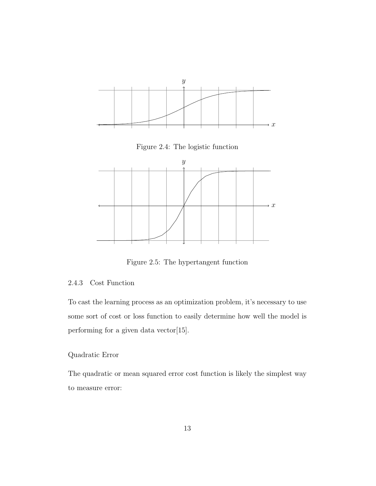

Figure 2.4: The logistic function

<span id="page-23-1"></span>

Figure 2.5: The hypertangent function

## <span id="page-23-2"></span><span id="page-23-0"></span>2.4.3 Cost Function

To cast the learning process as an optimization problem, it's necessary to use some sort of cost or loss function to easily determine how well the model is performing for a given data vector[\[15\]](#page-61-6).

## <span id="page-23-3"></span>Quadratic Error

The quadratic or mean squared error cost function is likely the simplest way to measure error: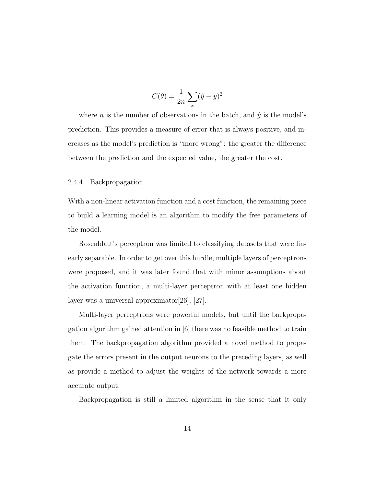$$
C(\theta) = \frac{1}{2n} \sum_{x} (\hat{y} - y)^2
$$

where *n* is the number of observations in the batch, and  $\hat{y}$  is the model's prediction. This provides a measure of error that is always positive, and increases as the model's prediction is "more wrong": the greater the difference between the prediction and the expected value, the greater the cost.

#### <span id="page-24-0"></span>2.4.4 Backpropagation

With a non-linear activation function and a cost function, the remaining piece to build a learning model is an algorithm to modify the free parameters of the model.

Rosenblatt's perceptron was limited to classifying datasets that were linearly separable. In order to get over this hurdle, multiple layers of perceptrons were proposed, and it was later found that with minor assumptions about the activation function, a multi-layer perceptron with at least one hidden layer was a universal approximator[\[26\]](#page-62-3), [\[27\]](#page-62-4).

Multi-layer perceptrons were powerful models, but until the backpropagation algorithm gained attention in [\[6\]](#page-60-3) there was no feasible method to train them. The backpropagation algorithm provided a novel method to propagate the errors present in the output neurons to the preceding layers, as well as provide a method to adjust the weights of the network towards a more accurate output.

Backpropagation is still a limited algorithm in the sense that it only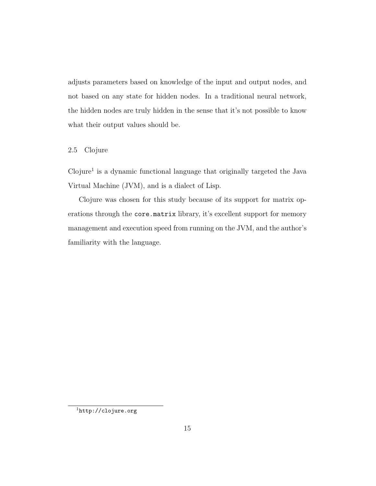adjusts parameters based on knowledge of the input and output nodes, and not based on any state for hidden nodes. In a traditional neural network, the hidden nodes are truly hidden in the sense that it's not possible to know what their output values should be.

## <span id="page-25-0"></span>2.5 Clojure

Clojure<sup>[1](#page-25-1)</sup> is a dynamic functional language that originally targeted the Java Virtual Machine (JVM), and is a dialect of Lisp.

Clojure was chosen for this study because of its support for matrix operations through the core.matrix library, it's excellent support for memory management and execution speed from running on the JVM, and the author's familiarity with the language.

<span id="page-25-1"></span><sup>1</sup><http://clojure.org>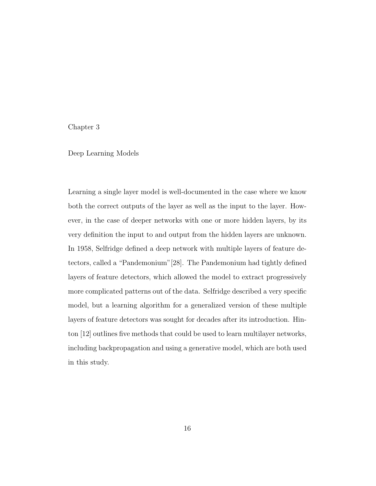#### <span id="page-26-0"></span>Chapter 3

Deep Learning Models

Learning a single layer model is well-documented in the case where we know both the correct outputs of the layer as well as the input to the layer. However, in the case of deeper networks with one or more hidden layers, by its very definition the input to and output from the hidden layers are unknown. In 1958, Selfridge defined a deep network with multiple layers of feature detectors, called a "Pandemonium"[\[28\]](#page-62-5). The Pandemonium had tightly defined layers of feature detectors, which allowed the model to extract progressively more complicated patterns out of the data. Selfridge described a very specific model, but a learning algorithm for a generalized version of these multiple layers of feature detectors was sought for decades after its introduction. Hinton [\[12\]](#page-61-2) outlines five methods that could be used to learn multilayer networks, including backpropagation and using a generative model, which are both used in this study.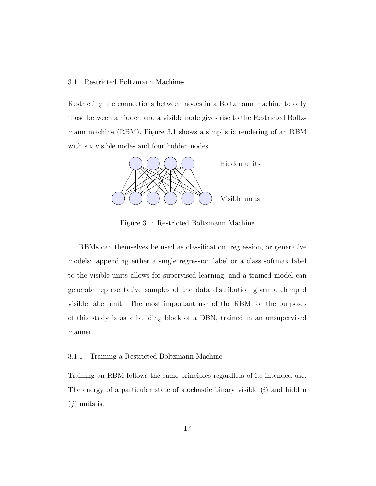#### <span id="page-27-0"></span>3.1 Restricted Boltzmann Machines

Restricting the connections between nodes in a Boltzmann machine to only those between a hidden and a visible node gives rise to the Restricted Boltzmann machine (RBM). [Figure 3.1](#page-27-2) shows a simplistic rendering of an RBM with six visible nodes and four hidden nodes.



Figure 3.1: Restricted Boltzmann Machine

<span id="page-27-2"></span>RBMs can themselves be used as classification, regression, or generative models: appending either a single regression label or a class softmax label to the visible units allows for supervised learning, and a trained model can generate representative samples of the data distribution given a clamped visible label unit. The most important use of the RBM for the purposes of this study is as a building block of a DBN, trained in an unsupervised manner.

#### <span id="page-27-1"></span>3.1.1 Training a Restricted Boltzmann Machine

Training an RBM follows the same principles regardless of its intended use. The energy of a particular state of stochastic binary visible  $(i)$  and hidden  $(j)$  units is: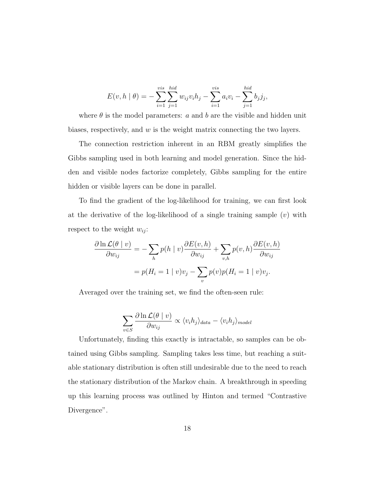$$
E(v, h | \theta) = -\sum_{i=1}^{vis} \sum_{j=1}^{hid} w_{ij} v_i h_j - \sum_{i=1}^{vis} a_i v_i - \sum_{j=1}^{hid} b_j j_j,
$$

where  $\theta$  is the model parameters: a and b are the visible and hidden unit biases, respectively, and w is the weight matrix connecting the two layers.

The connection restriction inherent in an RBM greatly simplifies the Gibbs sampling used in both learning and model generation. Since the hidden and visible nodes factorize completely, Gibbs sampling for the entire hidden or visible layers can be done in parallel.

To find the gradient of the log-likelihood for training, we can first look at the derivative of the log-likelihood of a single training sample  $(v)$  with respect to the weight  $w_{ij}$ :

$$
\frac{\partial \ln \mathcal{L}(\theta \mid v)}{\partial w_{ij}} = -\sum_{h} p(h \mid v) \frac{\partial E(v, h)}{\partial w_{ij}} + \sum_{v, h} p(v, h) \frac{\partial E(v, h)}{\partial w_{ij}}
$$

$$
= p(H_i = 1 \mid v)v_j - \sum_{v} p(v)p(H_i = 1 \mid v)v_j.
$$

Averaged over the training set, we find the often-seen rule:

$$
\sum_{v \in S} \frac{\partial \ln \mathcal{L}(\theta \mid v)}{\partial w_{ij}} \propto \langle v_i h_j \rangle_{data} - \langle v_i h_j \rangle_{model}
$$

Unfortunately, finding this exactly is intractable, so samples can be obtained using Gibbs sampling. Sampling takes less time, but reaching a suitable stationary distribution is often still undesirable due to the need to reach the stationary distribution of the Markov chain. A breakthrough in speeding up this learning process was outlined by Hinton and termed "Contrastive Divergence".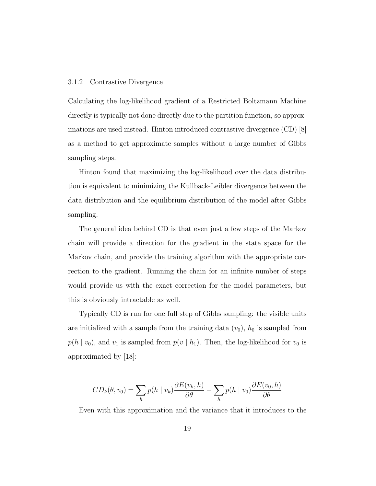#### <span id="page-29-0"></span>3.1.2 Contrastive Divergence

Calculating the log-likelihood gradient of a Restricted Boltzmann Machine directly is typically not done directly due to the partition function, so approximations are used instead. Hinton introduced contrastive divergence (CD) [\[8\]](#page-61-1) as a method to get approximate samples without a large number of Gibbs sampling steps.

Hinton found that maximizing the log-likelihood over the data distribution is equivalent to minimizing the Kullback-Leibler divergence between the data distribution and the equilibrium distribution of the model after Gibbs sampling.

The general idea behind CD is that even just a few steps of the Markov chain will provide a direction for the gradient in the state space for the Markov chain, and provide the training algorithm with the appropriate correction to the gradient. Running the chain for an infinite number of steps would provide us with the exact correction for the model parameters, but this is obviously intractable as well.

Typically CD is run for one full step of Gibbs sampling: the visible units are initialized with a sample from the training data  $(v_0)$ ,  $h_0$  is sampled from  $p(h | v_0)$ , and  $v_1$  is sampled from  $p(v | h_1)$ . Then, the log-likelihood for  $v_0$  is approximated by [\[18\]](#page-61-9):

$$
CD_k(\theta, v_0) = \sum_h p(h \mid v_k) \frac{\partial E(v_k, h)}{\partial \theta} - \sum_h p(h \mid v_0) \frac{\partial E(v_0, h)}{\partial \theta}
$$

Even with this approximation and the variance that it introduces to the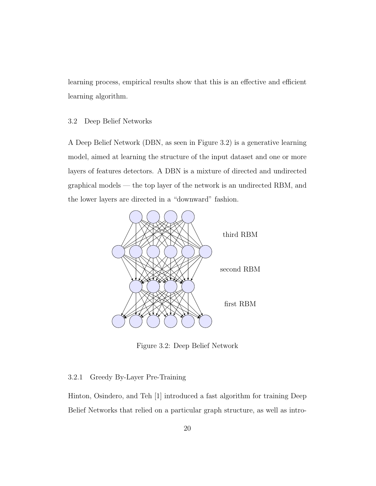learning process, empirical results show that this is an effective and efficient learning algorithm.

#### <span id="page-30-0"></span>3.2 Deep Belief Networks

A Deep Belief Network (DBN, as seen in [Figure 3.2\)](#page-30-2) is a generative learning model, aimed at learning the structure of the input dataset and one or more layers of features detectors. A DBN is a mixture of directed and undirected graphical models — the top layer of the network is an undirected RBM, and the lower layers are directed in a "downward" fashion.



Figure 3.2: Deep Belief Network

#### <span id="page-30-2"></span><span id="page-30-1"></span>3.2.1 Greedy By-Layer Pre-Training

Hinton, Osindero, and Teh [\[1\]](#page-60-0) introduced a fast algorithm for training Deep Belief Networks that relied on a particular graph structure, as well as intro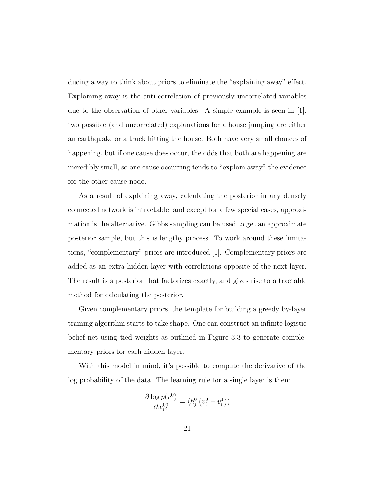ducing a way to think about priors to eliminate the "explaining away" effect. Explaining away is the anti-correlation of previously uncorrelated variables due to the observation of other variables. A simple example is seen in [\[1\]](#page-60-0): two possible (and uncorrelated) explanations for a house jumping are either an earthquake or a truck hitting the house. Both have very small chances of happening, but if one cause does occur, the odds that both are happening are incredibly small, so one cause occurring tends to "explain away" the evidence for the other cause node.

As a result of explaining away, calculating the posterior in any densely connected network is intractable, and except for a few special cases, approximation is the alternative. Gibbs sampling can be used to get an approximate posterior sample, but this is lengthy process. To work around these limitations, "complementary" priors are introduced [\[1\]](#page-60-0). Complementary priors are added as an extra hidden layer with correlations opposite of the next layer. The result is a posterior that factorizes exactly, and gives rise to a tractable method for calculating the posterior.

Given complementary priors, the template for building a greedy by-layer training algorithm starts to take shape. One can construct an infinite logistic belief net using tied weights as outlined in Figure [3.3](#page-32-0) to generate complementary priors for each hidden layer.

With this model in mind, it's possible to compute the derivative of the log probability of the data. The learning rule for a single layer is then:

$$
\frac{\partial \log p(v^0)}{\partial w_{ij}^{00}} = \langle h_j^0 \left( v_i^0 - v_i^1 \right) \rangle
$$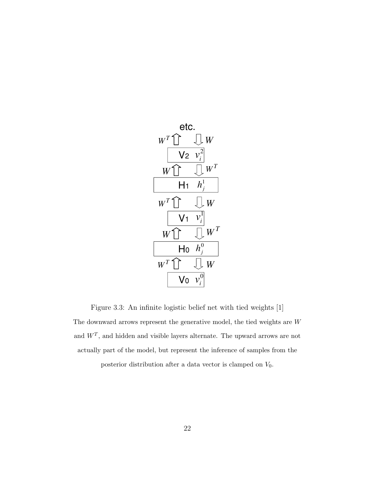

<span id="page-32-0"></span>represent the generative model. The upward arrows are not part of the model. Figure 3.3: An infinite logistic belief net with tied weights [\[1\]](#page-60-0) distribution at each hidden layer of the net when a data vector is clamped The downward arrows represent the generative model, the tied weights are W actually part of the model, but represent the inference of samples from the and  $W^T$ , and hidden and visible layers alternate. The upward arrows are not

the posterior distribution after a data vector is clamped on  $V_0$ .  $\frac{1}{\sqrt{2}}$ *i j* , from a unit *j* in layer *H*<sup>0</sup> to unit *i* in layer posterior distribution after a data vector is clamped on  $V_0$ .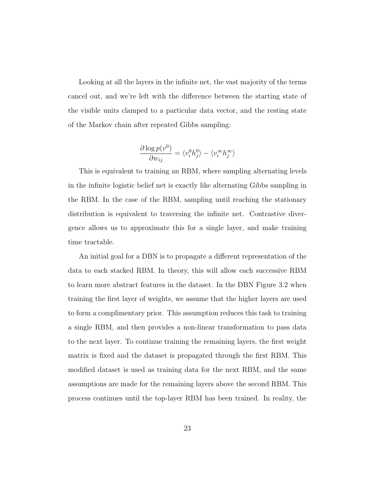Looking at all the layers in the infinite net, the vast majority of the terms cancel out, and we're left with the difference between the starting state of the visible units clamped to a particular data vector, and the resting state of the Markov chain after repeated Gibbs sampling:

$$
\frac{\partial \log p(v^0)}{\partial w_{ij}} = \langle v_i^0 h_j^0 \rangle - \langle v_i^\infty h_j^\infty \rangle
$$

This is equivalent to training an RBM, where sampling alternating levels in the infinite logistic belief net is exactly like alternating Gibbs sampling in the RBM. In the case of the RBM, sampling until reaching the stationary distribution is equivalent to traversing the infinite net. Contrastive divergence allows us to approximate this for a single layer, and make training time tractable.

An initial goal for a DBN is to propagate a different representation of the data to each stacked RBM. In theory, this will allow each successive RBM to learn more abstract features in the dataset. In the DBN [Figure 3.2](#page-30-2) when training the first layer of weights, we assume that the higher layers are used to form a complimentary prior. This assumption reduces this task to training a single RBM, and then provides a non-linear transformation to pass data to the next layer. To continue training the remaining layers, the first weight matrix is fixed and the dataset is propagated through the first RBM. This modified dataset is used as training data for the next RBM, and the same assumptions are made for the remaining layers above the second RBM. This process continues until the top-layer RBM has been trained. In reality, the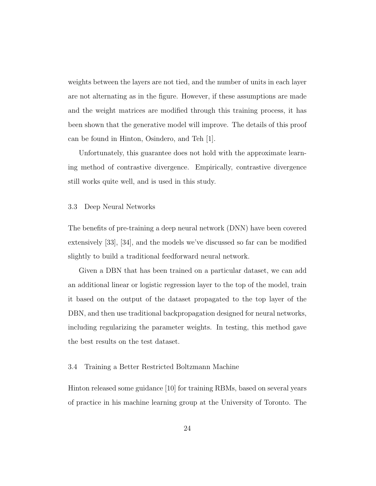weights between the layers are not tied, and the number of units in each layer are not alternating as in the figure. However, if these assumptions are made and the weight matrices are modified through this training process, it has been shown that the generative model will improve. The details of this proof can be found in Hinton, Osindero, and Teh [\[1\]](#page-60-0).

Unfortunately, this guarantee does not hold with the approximate learning method of contrastive divergence. Empirically, contrastive divergence still works quite well, and is used in this study.

#### <span id="page-34-0"></span>3.3 Deep Neural Networks

The benefits of pre-training a deep neural network (DNN) have been covered extensively [\[33\]](#page-63-0), [\[34\]](#page-63-1), and the models we've discussed so far can be modified slightly to build a traditional feedforward neural network.

Given a DBN that has been trained on a particular dataset, we can add an additional linear or logistic regression layer to the top of the model, train it based on the output of the dataset propagated to the top layer of the DBN, and then use traditional backpropagation designed for neural networks, including regularizing the parameter weights. In testing, this method gave the best results on the test dataset.

#### <span id="page-34-1"></span>3.4 Training a Better Restricted Boltzmann Machine

Hinton released some guidance [\[10\]](#page-61-5) for training RBMs, based on several years of practice in his machine learning group at the University of Toronto. The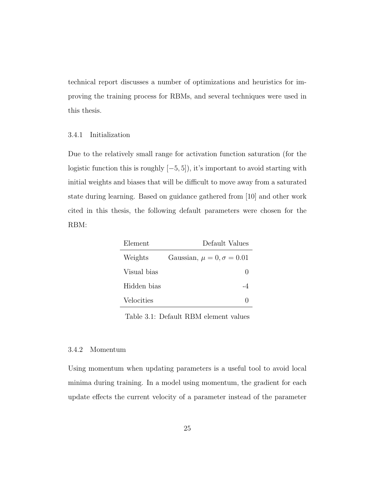technical report discusses a number of optimizations and heuristics for improving the training process for RBMs, and several techniques were used in this thesis.

## <span id="page-35-0"></span>3.4.1 Initialization

Due to the relatively small range for activation function saturation (for the logistic function this is roughly  $[-5, 5]$ ), it's important to avoid starting with initial weights and biases that will be difficult to move away from a saturated state during learning. Based on guidance gathered from [\[10\]](#page-61-5) and other work cited in this thesis, the following default parameters were chosen for the RBM:

<span id="page-35-2"></span>

| Element           | Default Values                     |
|-------------------|------------------------------------|
| Weights           | Gaussian, $\mu = 0, \sigma = 0.01$ |
| Visual bias       |                                    |
| Hidden bias       | -4                                 |
| <b>Velocities</b> |                                    |

Table 3.1: Default RBM element values

### <span id="page-35-1"></span>3.4.2 Momentum

Using momentum when updating parameters is a useful tool to avoid local minima during training. In a model using momentum, the gradient for each update effects the current velocity of a parameter instead of the parameter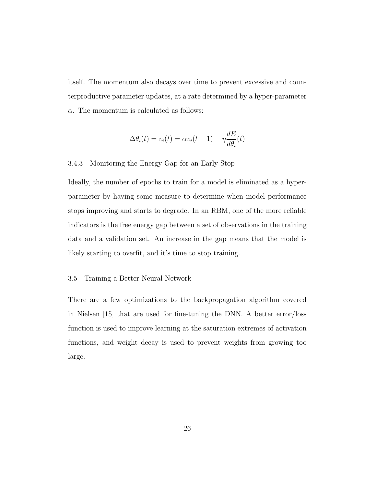itself. The momentum also decays over time to prevent excessive and counterproductive parameter updates, at a rate determined by a hyper-parameter  $\alpha$ . The momentum is calculated as follows:

$$
\Delta \theta_i(t) = v_i(t) = \alpha v_i(t-1) - \eta \frac{dE}{d\theta_i}(t)
$$

#### <span id="page-36-0"></span>3.4.3 Monitoring the Energy Gap for an Early Stop

Ideally, the number of epochs to train for a model is eliminated as a hyperparameter by having some measure to determine when model performance stops improving and starts to degrade. In an RBM, one of the more reliable indicators is the free energy gap between a set of observations in the training data and a validation set. An increase in the gap means that the model is likely starting to overfit, and it's time to stop training.

#### <span id="page-36-1"></span>3.5 Training a Better Neural Network

There are a few optimizations to the backpropagation algorithm covered in Nielsen [\[15\]](#page-61-6) that are used for fine-tuning the DNN. A better error/loss function is used to improve learning at the saturation extremes of activation functions, and weight decay is used to prevent weights from growing too large.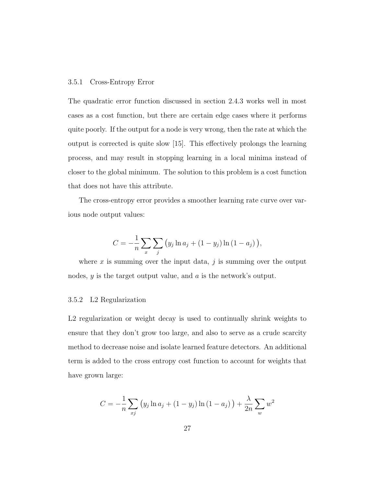#### <span id="page-37-0"></span>3.5.1 Cross-Entropy Error

The quadratic error function discussed in [section 2.4.3](#page-23-3) works well in most cases as a cost function, but there are certain edge cases where it performs quite poorly. If the output for a node is very wrong, then the rate at which the output is corrected is quite slow [\[15\]](#page-61-6). This effectively prolongs the learning process, and may result in stopping learning in a local minima instead of closer to the global minimum. The solution to this problem is a cost function that does not have this attribute.

The cross-entropy error provides a smoother learning rate curve over various node output values:

$$
C = -\frac{1}{n} \sum_{x} \sum_{j} (y_j \ln a_j + (1 - y_j) \ln (1 - a_j)),
$$

where x is summing over the input data,  $j$  is summing over the output nodes, y is the target output value, and a is the network's output.

#### <span id="page-37-1"></span>3.5.2 L2 Regularization

L2 regularization or weight decay is used to continually shrink weights to ensure that they don't grow too large, and also to serve as a crude scarcity method to decrease noise and isolate learned feature detectors. An additional term is added to the cross entropy cost function to account for weights that have grown large:

$$
C = -\frac{1}{n} \sum_{xj} (y_j \ln a_j + (1 - y_j) \ln (1 - a_j)) + \frac{\lambda}{2n} \sum_{w} w^2
$$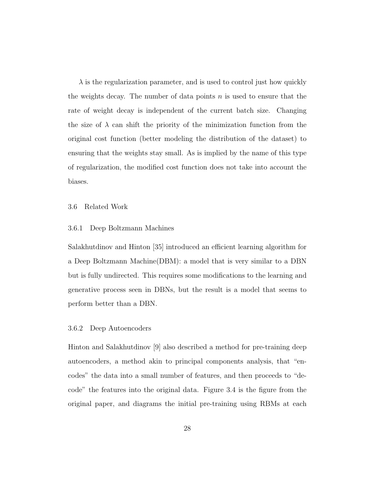$\lambda$  is the regularization parameter, and is used to control just how quickly the weights decay. The number of data points  $n$  is used to ensure that the rate of weight decay is independent of the current batch size. Changing the size of  $\lambda$  can shift the priority of the minimization function from the original cost function (better modeling the distribution of the dataset) to ensuring that the weights stay small. As is implied by the name of this type of regularization, the modified cost function does not take into account the biases.

## <span id="page-38-0"></span>3.6 Related Work

#### <span id="page-38-1"></span>3.6.1 Deep Boltzmann Machines

Salakhutdinov and Hinton [\[35\]](#page-63-2) introduced an efficient learning algorithm for a Deep Boltzmann Machine(DBM): a model that is very similar to a DBN but is fully undirected. This requires some modifications to the learning and generative process seen in DBNs, but the result is a model that seems to perform better than a DBN.

#### <span id="page-38-2"></span>3.6.2 Deep Autoencoders

Hinton and Salakhutdinov [\[9\]](#page-61-0) also described a method for pre-training deep autoencoders, a method akin to principal components analysis, that "encodes" the data into a small number of features, and then proceeds to "decode" the features into the original data. [Figure 3.4](#page-39-0) is the figure from the original paper, and diagrams the initial pre-training using RBMs at each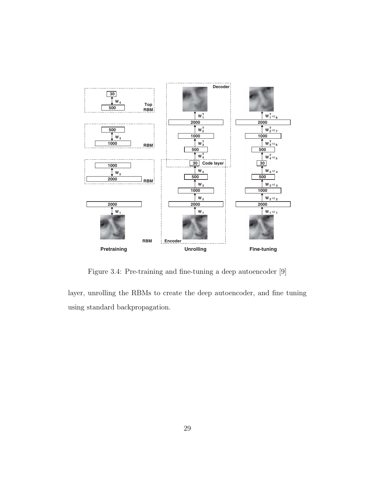

<span id="page-39-0"></span>Figure 3.4: Pre-training and fine-tuning a deep autoencoder  $[9]$ Figure 3.4: Pre-training and fine-tuning a deep autoencoder [\[9\]](#page-61-0)

layer, unrolling the RBMs to create the deep autoencoder, and fine tuning Random samples of curves from using standard backpropagation.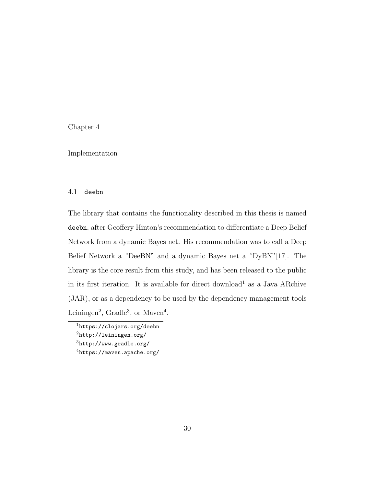## <span id="page-40-0"></span>Chapter 4

Implementation

## <span id="page-40-1"></span>4.1 deebn

The library that contains the functionality described in this thesis is named deebn, after Geoffery Hinton's recommendation to differentiate a Deep Belief Network from a dynamic Bayes net. His recommendation was to call a Deep Belief Network a "DeeBN" and a dynamic Bayes net a "DyBN"[\[17\]](#page-61-8). The library is the core result from this study, and has been released to the public in its first iteration. It is available for direct download<sup>[1](#page-40-2)</sup> as a Java ARchive (JAR), or as a dependency to be used by the dependency management tools Leiningen<sup>[2](#page-40-3)</sup>, Gradle<sup>[3](#page-40-4)</sup>, or Maven<sup>[4](#page-40-5)</sup>.

<span id="page-40-5"></span><span id="page-40-4"></span><span id="page-40-3"></span><span id="page-40-2"></span><sup>1</sup><https://clojars.org/deebn> <sup>2</sup><http://leiningen.org/> <sup>3</sup><http://www.gradle.org/> <sup>4</sup><https://maven.apache.org/>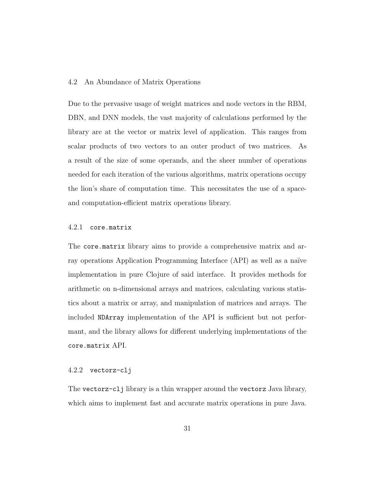#### <span id="page-41-0"></span>4.2 An Abundance of Matrix Operations

Due to the pervasive usage of weight matrices and node vectors in the RBM, DBN, and DNN models, the vast majority of calculations performed by the library are at the vector or matrix level of application. This ranges from scalar products of two vectors to an outer product of two matrices. As a result of the size of some operands, and the sheer number of operations needed for each iteration of the various algorithms, matrix operations occupy the lion's share of computation time. This necessitates the use of a spaceand computation-efficient matrix operations library.

## <span id="page-41-1"></span>4.2.1 core.matrix

The core.matrix library aims to provide a comprehensive matrix and array operations Application Programming Interface (API) as well as a naïve implementation in pure Clojure of said interface. It provides methods for arithmetic on n-dimensional arrays and matrices, calculating various statistics about a matrix or array, and manipulation of matrices and arrays. The included NDArray implementation of the API is sufficient but not performant, and the library allows for different underlying implementations of the core.matrix API.

### <span id="page-41-2"></span>4.2.2 vectorz-clj

The vectorz-clj library is a thin wrapper around the vectorz Java library, which aims to implement fast and accurate matrix operations in pure Java.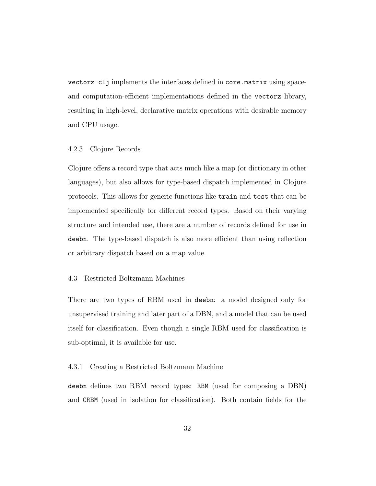vectorz-clj implements the interfaces defined in core.matrix using spaceand computation-efficient implementations defined in the vectorz library, resulting in high-level, declarative matrix operations with desirable memory and CPU usage.

#### <span id="page-42-0"></span>4.2.3 Clojure Records

Clojure offers a record type that acts much like a map (or dictionary in other languages), but also allows for type-based dispatch implemented in Clojure protocols. This allows for generic functions like train and test that can be implemented specifically for different record types. Based on their varying structure and intended use, there are a number of records defined for use in deebn. The type-based dispatch is also more efficient than using reflection or arbitrary dispatch based on a map value.

### <span id="page-42-1"></span>4.3 Restricted Boltzmann Machines

There are two types of RBM used in deebn: a model designed only for unsupervised training and later part of a DBN, and a model that can be used itself for classification. Even though a single RBM used for classification is sub-optimal, it is available for use.

#### <span id="page-42-2"></span>4.3.1 Creating a Restricted Boltzmann Machine

deebn defines two RBM record types: RBM (used for composing a DBN) and CRBM (used in isolation for classification). Both contain fields for the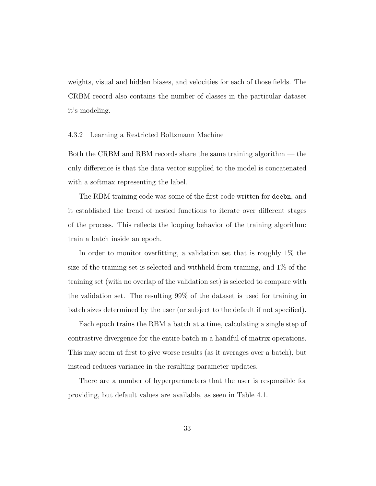weights, visual and hidden biases, and velocities for each of those fields. The CRBM record also contains the number of classes in the particular dataset it's modeling.

#### <span id="page-43-0"></span>4.3.2 Learning a Restricted Boltzmann Machine

Both the CRBM and RBM records share the same training algorithm — the only difference is that the data vector supplied to the model is concatenated with a softmax representing the label.

The RBM training code was some of the first code written for deebn, and it established the trend of nested functions to iterate over different stages of the process. This reflects the looping behavior of the training algorithm: train a batch inside an epoch.

In order to monitor overfitting, a validation set that is roughly 1% the size of the training set is selected and withheld from training, and 1% of the training set (with no overlap of the validation set) is selected to compare with the validation set. The resulting 99% of the dataset is used for training in batch sizes determined by the user (or subject to the default if not specified).

Each epoch trains the RBM a batch at a time, calculating a single step of contrastive divergence for the entire batch in a handful of matrix operations. This may seem at first to give worse results (as it averages over a batch), but instead reduces variance in the resulting parameter updates.

There are a number of hyperparameters that the user is responsible for providing, but default values are available, as seen in [Table 4.1.](#page-44-2)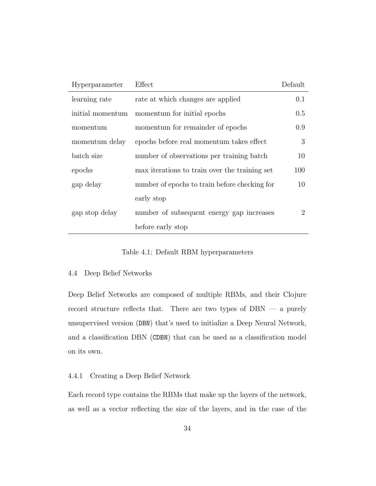| Hyperparameter   | Effect                                        | Default |
|------------------|-----------------------------------------------|---------|
| learning rate    | rate at which changes are applied             | 0.1     |
| initial momentum | momentum for initial epochs                   | 0.5     |
| momentum         | momentum for remainder of epochs              | 0.9     |
| momentum delay   | epochs before real momentum takes effect      | 3       |
| batch size       | number of observations per training batch     | 10      |
| epochs           | max iterations to train over the training set | 100     |
| gap delay        | number of epochs to train before checking for | 10      |
|                  | early stop                                    |         |
| gap stop delay   | number of subsequent energy gap increases     | 2       |
|                  | before early stop                             |         |

<span id="page-44-2"></span>Table 4.1: Default RBM hyperparameters

### <span id="page-44-0"></span>4.4 Deep Belief Networks

Deep Belief Networks are composed of multiple RBMs, and their Clojure record structure reflects that. There are two types of DBN — a purely unsupervised version (DBN) that's used to initialize a Deep Neural Network, and a classification DBN (CDBN) that can be used as a classification model on its own.

#### <span id="page-44-1"></span>4.4.1 Creating a Deep Belief Network

Each record type contains the RBMs that make up the layers of the network, as well as a vector reflecting the size of the layers, and in the case of the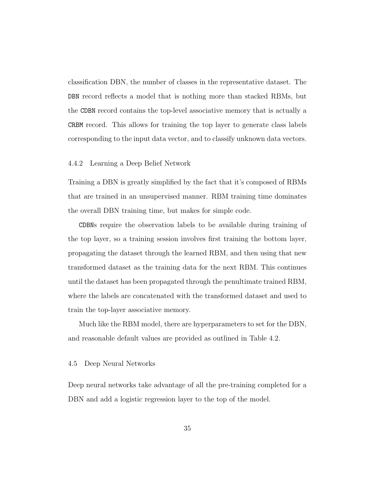classification DBN, the number of classes in the representative dataset. The DBN record reflects a model that is nothing more than stacked RBMs, but the CDBN record contains the top-level associative memory that is actually a CRBM record. This allows for training the top layer to generate class labels corresponding to the input data vector, and to classify unknown data vectors.

#### <span id="page-45-0"></span>4.4.2 Learning a Deep Belief Network

Training a DBN is greatly simplified by the fact that it's composed of RBMs that are trained in an unsupervised manner. RBM training time dominates the overall DBN training time, but makes for simple code.

CDBNs require the observation labels to be available during training of the top layer, so a training session involves first training the bottom layer, propagating the dataset through the learned RBM, and then using that new transformed dataset as the training data for the next RBM. This continues until the dataset has been propagated through the penultimate trained RBM, where the labels are concatenated with the transformed dataset and used to train the top-layer associative memory.

Much like the RBM model, there are hyperparameters to set for the DBN, and reasonable default values are provided as outlined in [Table 4.2.](#page-46-2)

#### <span id="page-45-1"></span>4.5 Deep Neural Networks

Deep neural networks take advantage of all the pre-training completed for a DBN and add a logistic regression layer to the top of the model.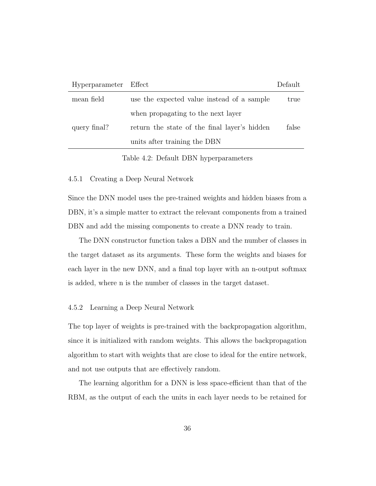| Hyperparameter Effect |                                              | Default |
|-----------------------|----------------------------------------------|---------|
| mean field            | use the expected value instead of a sample   | true    |
|                       | when propagating to the next layer           |         |
| query final?          | return the state of the final layer's hidden | false   |
|                       | units after training the DBN                 |         |

<span id="page-46-2"></span>Table 4.2: Default DBN hyperparameters

## <span id="page-46-0"></span>4.5.1 Creating a Deep Neural Network

Since the DNN model uses the pre-trained weights and hidden biases from a DBN, it's a simple matter to extract the relevant components from a trained DBN and add the missing components to create a DNN ready to train.

The DNN constructor function takes a DBN and the number of classes in the target dataset as its arguments. These form the weights and biases for each layer in the new DNN, and a final top layer with an n-output softmax is added, where n is the number of classes in the target dataset.

#### <span id="page-46-1"></span>4.5.2 Learning a Deep Neural Network

The top layer of weights is pre-trained with the backpropagation algorithm, since it is initialized with random weights. This allows the backpropagation algorithm to start with weights that are close to ideal for the entire network, and not use outputs that are effectively random.

The learning algorithm for a DNN is less space-efficient than that of the RBM, as the output of each the units in each layer needs to be retained for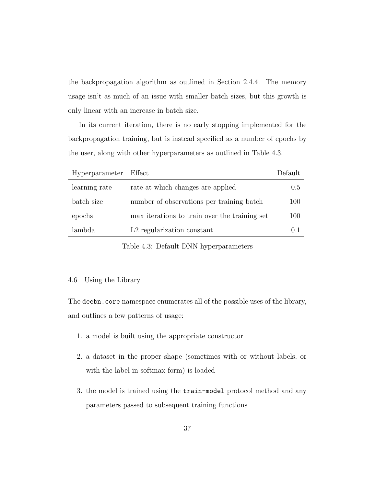the backpropagation algorithm as outlined in Section [2.4.4.](#page-24-0) The memory usage isn't as much of an issue with smaller batch sizes, but this growth is only linear with an increase in batch size.

In its current iteration, there is no early stopping implemented for the backpropagation training, but is instead specified as a number of epochs by the user, along with other hyperparameters as outlined in [Table 4.3.](#page-47-1)

| Hyperparameter | Effect                                        | Default |
|----------------|-----------------------------------------------|---------|
| learning rate  | rate at which changes are applied             | 0.5     |
| batch size     | number of observations per training batch     | 100     |
| epochs         | max iterations to train over the training set | 100     |
| lambda         | L <sub>2</sub> regularization constant        | ( ) 1   |
|                |                                               |         |

<span id="page-47-1"></span>Table 4.3: Default DNN hyperparameters

#### <span id="page-47-0"></span>4.6 Using the Library

The deebn.core namespace enumerates all of the possible uses of the library, and outlines a few patterns of usage:

- 1. a model is built using the appropriate constructor
- 2. a dataset in the proper shape (sometimes with or without labels, or with the label in softmax form) is loaded
- 3. the model is trained using the train-model protocol method and any parameters passed to subsequent training functions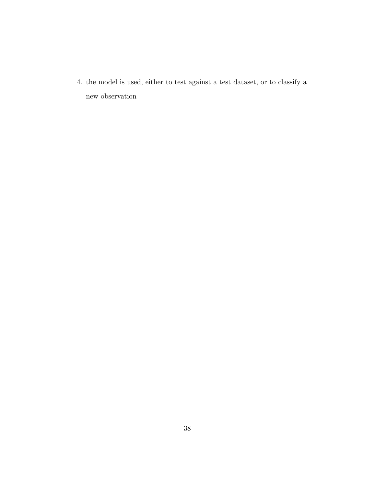4. the model is used, either to test against a test dataset, or to classify a new observation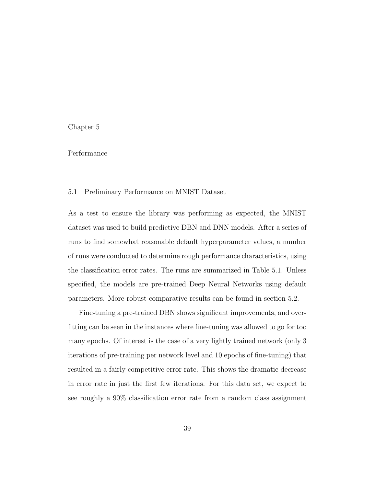#### <span id="page-49-0"></span>Chapter 5

## Performance

## <span id="page-49-1"></span>5.1 Preliminary Performance on MNIST Dataset

As a test to ensure the library was performing as expected, the MNIST dataset was used to build predictive DBN and DNN models. After a series of runs to find somewhat reasonable default hyperparameter values, a number of runs were conducted to determine rough performance characteristics, using the classification error rates. The runs are summarized in [Table 5.1.](#page-51-0) Unless specified, the models are pre-trained Deep Neural Networks using default parameters. More robust comparative results can be found in [section 5.2.](#page-50-0)

Fine-tuning a pre-trained DBN shows significant improvements, and overfitting can be seen in the instances where fine-tuning was allowed to go for too many epochs. Of interest is the case of a very lightly trained network (only 3 iterations of pre-training per network level and 10 epochs of fine-tuning) that resulted in a fairly competitive error rate. This shows the dramatic decrease in error rate in just the first few iterations. For this data set, we expect to see roughly a 90% classification error rate from a random class assignment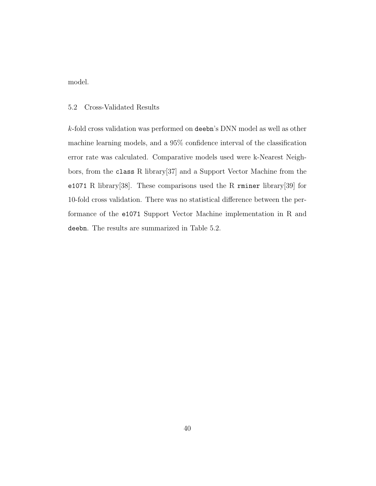model.

## <span id="page-50-0"></span>5.2 Cross-Validated Results

k-fold cross validation was performed on deebn's DNN model as well as other machine learning models, and a 95% confidence interval of the classification error rate was calculated. Comparative models used were k-Nearest Neighbors, from the class R library[\[37\]](#page-63-3) and a Support Vector Machine from the e1071 R library[\[38\]](#page-63-4). These comparisons used the R rminer library[\[39\]](#page-64-1) for 10-fold cross validation. There was no statistical difference between the performance of the e1071 Support Vector Machine implementation in R and deebn. The results are summarized in [Table 5.2.](#page-51-1)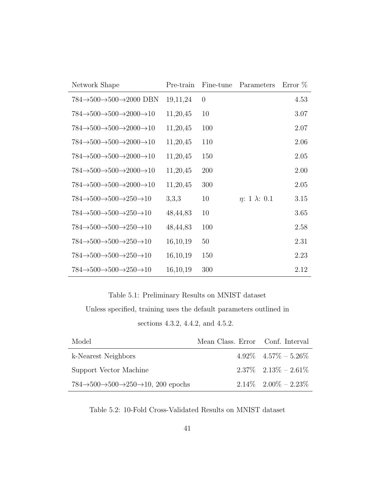| Network Shape                                                         | Pre-train  | Fine-tune      | Parameters                 | Error $%$ |
|-----------------------------------------------------------------------|------------|----------------|----------------------------|-----------|
| $784 \rightarrow 500 \rightarrow 500 \rightarrow 2000$ DBN            | 19, 11, 24 | $\overline{0}$ |                            | 4.53      |
| $784 \rightarrow 500 \rightarrow 500 \rightarrow 2000 \rightarrow 10$ | 11,20,45   | 10             |                            | 3.07      |
| $784 \rightarrow 500 \rightarrow 500 \rightarrow 2000 \rightarrow 10$ | 11,20,45   | 100            |                            | 2.07      |
| $784 \rightarrow 500 \rightarrow 500 \rightarrow 2000 \rightarrow 10$ | 11,20,45   | 110            |                            | 2.06      |
| $784 \rightarrow 500 \rightarrow 500 \rightarrow 2000 \rightarrow 10$ | 11,20,45   | 150            |                            | 2.05      |
| $784 \rightarrow 500 \rightarrow 500 \rightarrow 2000 \rightarrow 10$ | 11,20,45   | 200            |                            | 2.00      |
| $784 \rightarrow 500 \rightarrow 500 \rightarrow 2000 \rightarrow 10$ | 11,20,45   | 300            |                            | 2.05      |
| $784 \rightarrow 500 \rightarrow 500 \rightarrow 250 \rightarrow 10$  | 3,3,3      | 10             | $\eta$ : 1 $\lambda$ : 0.1 | 3.15      |
| $784 \rightarrow 500 \rightarrow 500 \rightarrow 250 \rightarrow 10$  | 48, 44, 83 | 10             |                            | 3.65      |
| $784 \rightarrow 500 \rightarrow 500 \rightarrow 250 \rightarrow 10$  | 48, 44, 83 | 100            |                            | 2.58      |
| $784 \rightarrow 500 \rightarrow 500 \rightarrow 250 \rightarrow 10$  | 16,10,19   | 50             |                            | 2.31      |
| $784 \rightarrow 500 \rightarrow 500 \rightarrow 250 \rightarrow 10$  | 16, 10, 19 | 150            |                            | 2.23      |
| $784 \rightarrow 500 \rightarrow 500 \rightarrow 250 \rightarrow 10$  | 16,10,19   | 300            |                            | 2.12      |

Table 5.1: Preliminary Results on MNIST dataset

Unless specified, training uses the default parameters outlined in

<span id="page-51-1"></span><span id="page-51-0"></span>sections [4.3.2,](#page-43-0) [4.4.2,](#page-45-0) and [4.5.2.](#page-46-1)

| Model                                                                             | Mean Class. Error Conf. Interval |                              |
|-----------------------------------------------------------------------------------|----------------------------------|------------------------------|
| k-Nearest Neighbors                                                               |                                  | $4.92\%$ $4.57\%$ - 5.26\%   |
| Support Vector Machine                                                            |                                  | $2.37\%$ $2.13\%$ - $2.61\%$ |
| $784 \rightarrow 500 \rightarrow 500 \rightarrow 250 \rightarrow 10$ , 200 epochs |                                  | $2.14\%$ $2.00\%$ - $2.23\%$ |

Table 5.2: 10-Fold Cross-Validated Results on MNIST dataset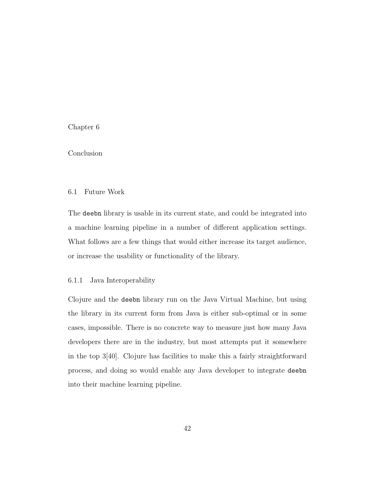#### <span id="page-52-0"></span>Chapter 6

## Conclusion

## <span id="page-52-1"></span>6.1 Future Work

The deebn library is usable in its current state, and could be integrated into a machine learning pipeline in a number of different application settings. What follows are a few things that would either increase its target audience, or increase the usability or functionality of the library.

#### <span id="page-52-2"></span>6.1.1 Java Interoperability

Clojure and the deebn library run on the Java Virtual Machine, but using the library in its current form from Java is either sub-optimal or in some cases, impossible. There is no concrete way to measure just how many Java developers there are in the industry, but most attempts put it somewhere in the top 3[\[40\]](#page-64-2). Clojure has facilities to make this a fairly straightforward process, and doing so would enable any Java developer to integrate deebn into their machine learning pipeline.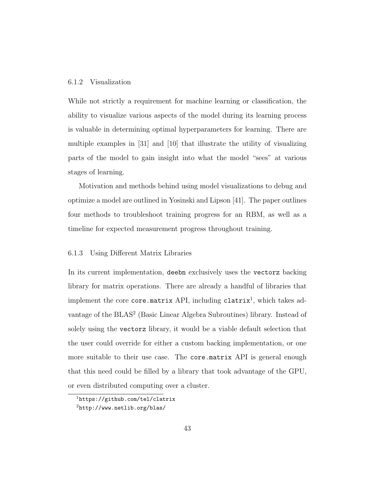#### <span id="page-53-0"></span>6.1.2 Visualization

While not strictly a requirement for machine learning or classification, the ability to visualize various aspects of the model during its learning process is valuable in determining optimal hyperparameters for learning. There are multiple examples in [\[31\]](#page-63-5) and [\[10\]](#page-61-5) that illustrate the utility of visualizing parts of the model to gain insight into what the model "sees" at various stages of learning.

Motivation and methods behind using model visualizations to debug and optimize a model are outlined in Yosinski and Lipson [\[41\]](#page-64-3). The paper outlines four methods to troubleshoot training progress for an RBM, as well as a timeline for expected measurement progress throughout training.

#### <span id="page-53-1"></span>6.1.3 Using Different Matrix Libraries

In its current implementation, deebn exclusively uses the vectorz backing library for matrix operations. There are already a handful of libraries that implement the core core matrix API, including clatrix<sup>[1](#page-53-2)</sup>, which takes ad-vantage of the BLAS<sup>[2](#page-53-3)</sup> (Basic Linear Algebra Subroutines) library. Instead of solely using the vectorz library, it would be a viable default selection that the user could override for either a custom backing implementation, or one more suitable to their use case. The core.matrix API is general enough that this need could be filled by a library that took advantage of the GPU, or even distributed computing over a cluster.

<span id="page-53-3"></span><span id="page-53-2"></span><sup>1</sup><https://github.com/tel/clatrix>

 $^{2}$ <http://www.netlib.org/blas/>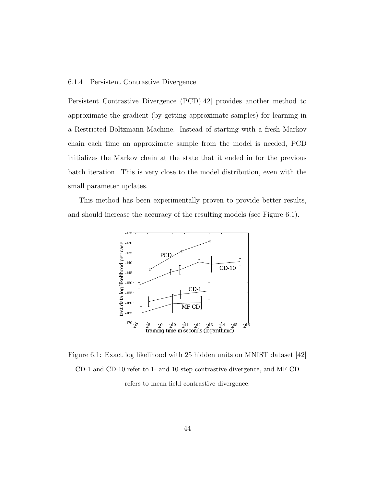#### <span id="page-54-0"></span>6.1.4 Persistent Contrastive Divergence

Persistent Contrastive Divergence (PCD)[\[42\]](#page-64-0) provides another method to approximate the gradient (by getting approximate samples) for learning in a Restricted Boltzmann Machine. Instead of starting with a fresh Markov chain each time an approximate sample from the model is needed, PCD initializes the Markov chain at the state that it ended in for the previous batch iteration. This is very close to the model distribution, even with the small parameter updates.

This method has been experimentally proven to provide better results, and should increase the accuracy of the resulting models (see Figure  $6.1$ ). took only a little bit more time per training point,

<span id="page-54-1"></span>

 $\mathbf{E}^{\prime}$  as a validation set, as we for the set of the set of the set of the set of the set of the set of the set of the set of the set of the set of the set of the set of the set of the set of the set of the set of t Figure 6.1: Exact log likelihood with 25 hidden units on MNIST dataset  $[42]$  $p$ atches, and artificial data sets. For each artificial data sets. For each artificial data sets. For each algorithm,  $p$  $CD-1$  and  $CD-10$  refer to 1- and 10-step contrastive divergence, and MF CD refers to mean field contrastive divergence.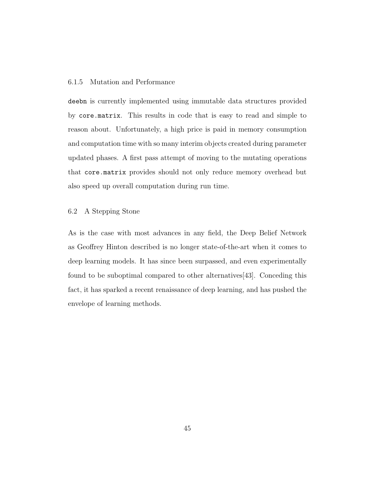## <span id="page-55-0"></span>6.1.5 Mutation and Performance

deebn is currently implemented using immutable data structures provided by core.matrix. This results in code that is easy to read and simple to reason about. Unfortunately, a high price is paid in memory consumption and computation time with so many interim objects created during parameter updated phases. A first pass attempt of moving to the mutating operations that core.matrix provides should not only reduce memory overhead but also speed up overall computation during run time.

#### <span id="page-55-1"></span>6.2 A Stepping Stone

As is the case with most advances in any field, the Deep Belief Network as Geoffrey Hinton described is no longer state-of-the-art when it comes to deep learning models. It has since been surpassed, and even experimentally found to be suboptimal compared to other alternatives[\[43\]](#page-64-4). Conceding this fact, it has sparked a recent renaissance of deep learning, and has pushed the envelope of learning methods.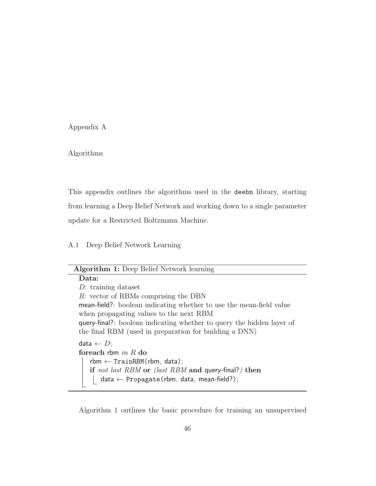<span id="page-56-0"></span>Appendix A

Algorithms

This appendix outlines the algorithms used in the deebn library, starting from learning a Deep Belief Network and working down to a single parameter update for a Restricted Boltzmann Machine.

<span id="page-56-1"></span>A.1 Deep Belief Network Learning

<span id="page-56-2"></span>

| <b>Algorithm 1:</b> Deep Belief Network learning                      |
|-----------------------------------------------------------------------|
| Data:                                                                 |
| $D:$ training dataset                                                 |
| R: vector of RBMs comprising the DBN                                  |
| mean-field?: boolean indicating whether to use the mean-field value   |
| when propagating values to the next RBM                               |
| query-final?: boolean indicating whether to query the hidden layer of |
| the final RBM (used in preparation for building a DNN)                |
| data $\leftarrow D$ ;                                                 |

foreach rbm in R do  $rbm \leftarrow \text{TrainRBM(rbm, data)};$ if not last RBM or (last RBM and query-final?) then  $\mathsf{data} \leftarrow \mathsf{Propagate}(\mathsf{rbm},\, \mathsf{data},\, \mathsf{mean}\text{-field}?)$ ;

Algorithm [1](#page-56-2) outlines the basic procedure for training an unsupervised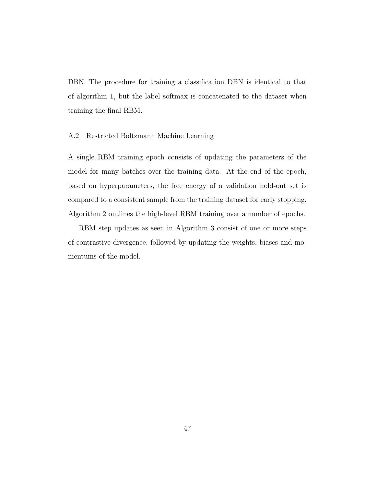DBN. The procedure for training a classification DBN is identical to that of [algorithm 1,](#page-56-2) but the label softmax is concatenated to the dataset when training the final RBM.

#### <span id="page-57-0"></span>A.2 Restricted Boltzmann Machine Learning

A single RBM training epoch consists of updating the parameters of the model for many batches over the training data. At the end of the epoch, based on hyperparameters, the free energy of a validation hold-out set is compared to a consistent sample from the training dataset for early stopping. Algorithm [2](#page-58-0) outlines the high-level RBM training over a number of epochs.

RBM step updates as seen in Algorithm [3](#page-59-0) consist of one or more steps of contrastive divergence, followed by updating the weights, biases and momentums of the model.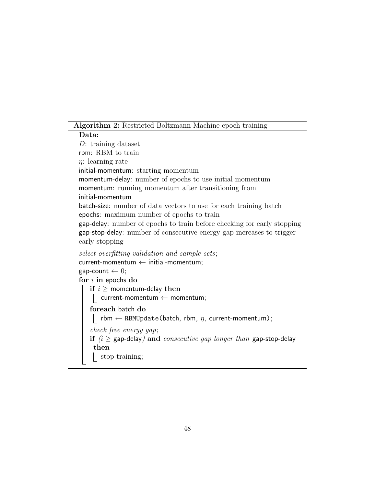## Algorithm 2: Restricted Boltzmann Machine epoch training

## <span id="page-58-0"></span>Data:

D: training dataset rbm: RBM to train  $\eta$ : learning rate initial-momentum: starting momentum momentum-delay: number of epochs to use initial momentum momentum: running momentum after transitioning from initial-momentum batch-size: number of data vectors to use for each training batch epochs: maximum number of epochs to train gap-delay: number of epochs to train before checking for early stopping gap-stop-delay: number of consecutive energy gap increases to trigger early stopping select overfitting validation and sample sets;  $current-momentum \leftarrow initial-momentum;$ gap-count  $\leftarrow 0$ ; for  $i$  in epochs do if  $i \geq$  momentum-delay then current-momentum ← momentum; foreach batch do | rbm  $\leftarrow$  RBMUpdate(batch, rbm,  $\eta$ , current-momentum); check free energy gap; if  $(i \geq$  gap-delay) and *consecutive gap longer than* gap-stop-delay then stop training;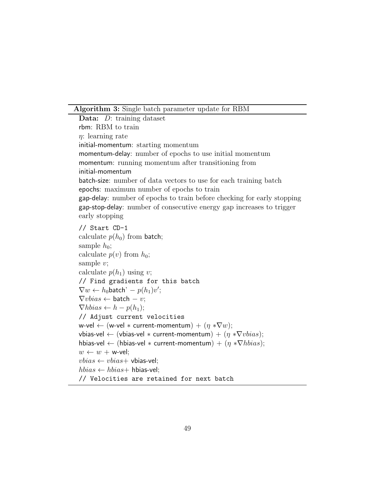## Algorithm 3: Single batch parameter update for RBM

```
Data: D: training dataset
rbm: RBM to train
\eta: learning rate
initial-momentum: starting momentum
momentum-delay: number of epochs to use initial momentum
momentum: running momentum after transitioning from
initial-momentum
batch-size: number of data vectors to use for each training batch
epochs: maximum number of epochs to train
gap-delay: number of epochs to train before checking for early stopping
gap-stop-delay: number of consecutive energy gap increases to trigger
early stopping
// Start CD-1
calculate p(h_0) from batch;
sample h_0;
calculate p(v) from h_0;
sample v;
calculate p(h_1) using v;
// Find gradients for this batch
\nabla w \leftarrow h_0batch' – p(h_1)v';
\nabla v bias \leftarrow \text{batch} - v;\nabla h bias \leftarrow h - p(h_1);// Adjust current velocities
w-vel \leftarrow (w-vel * current-momentum) + (\eta * \nabla w);
vbias-vel ← (vbias-vel * current-momentum) + (\eta * \nabla v bias);
hbias-vel ← (hbias-vel * current-momentum) + (\eta * \nabla h bias);w \leftarrow w + w-vel;
vbias \leftarrow vbias + vbias - vel;hbias \leftarrow hbias + \text{hbias-vel};// Velocities are retained for next batch
```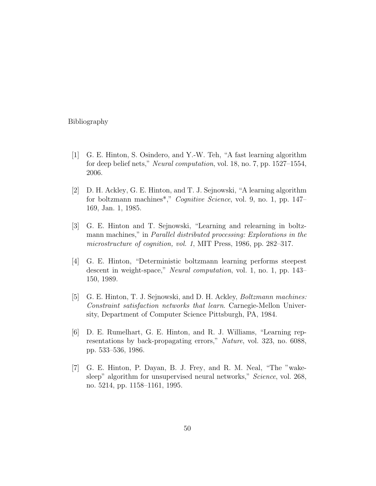#### Bibliography

- <span id="page-60-0"></span>[1] G. E. Hinton, S. Osindero, and Y.-W. Teh, "A fast learning algorithm for deep belief nets," Neural computation, vol. 18, no. 7, pp. 1527–1554, 2006.
- <span id="page-60-1"></span>[2] D. H. Ackley, G. E. Hinton, and T. J. Sejnowski, "A learning algorithm for boltzmann machines\*," Cognitive Science, vol. 9, no. 1, pp. 147– 169, Jan. 1, 1985.
- [3] G. E. Hinton and T. Sejnowski, "Learning and relearning in boltzmann machines," in *Parallel distributed processing: Explorations in the* microstructure of cognition, vol. 1, MIT Press, 1986, pp. 282–317.
- [4] G. E. Hinton, "Deterministic boltzmann learning performs steepest descent in weight-space," *Neural computation*, vol. 1, no. 1, pp. 143– 150, 1989.
- <span id="page-60-2"></span>[5] G. E. Hinton, T. J. Sejnowski, and D. H. Ackley, Boltzmann machines: Constraint satisfaction networks that learn. Carnegie-Mellon University, Department of Computer Science Pittsburgh, PA, 1984.
- <span id="page-60-3"></span>[6] D. E. Rumelhart, G. E. Hinton, and R. J. Williams, "Learning representations by back-propagating errors," Nature, vol. 323, no. 6088, pp. 533–536, 1986.
- <span id="page-60-4"></span>[7] G. E. Hinton, P. Dayan, B. J. Frey, and R. M. Neal, "The "wakesleep" algorithm for unsupervised neural networks," *Science*, vol. 268, no. 5214, pp. 1158–1161, 1995.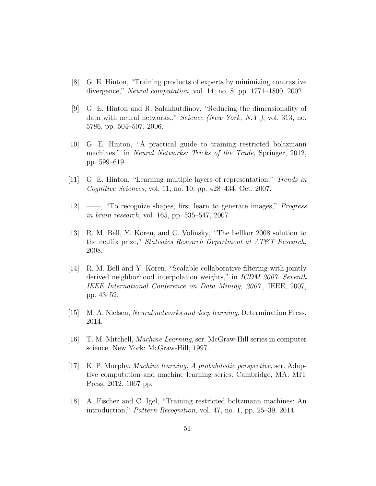- <span id="page-61-1"></span>[8] G. E. Hinton, "Training products of experts by minimizing contrastive divergence," Neural computation, vol. 14, no. 8, pp. 1771–1800, 2002.
- <span id="page-61-0"></span>[9] G. E. Hinton and R. Salakhutdinov, "Reducing the dimensionality of data with neural networks.," Science (New York, N.Y.), vol. 313, no. 5786, pp. 504–507, 2006.
- <span id="page-61-5"></span>[10] G. E. Hinton, "A practical guide to training restricted boltzmann machines," in *Neural Networks: Tricks of the Trade*, Springer, 2012, pp. 599–619.
- [11] G. E. Hinton, "Learning multiple layers of representation," Trends in Cognitive Sciences, vol. 11, no. 10, pp. 428–434, Oct. 2007.
- <span id="page-61-2"></span>[12] ——, "To recognize shapes, first learn to generate images," Progress in brain research, vol. 165, pp. 535–547, 2007.
- <span id="page-61-3"></span>[13] R. M. Bell, Y. Koren, and C. Volinsky, "The bellkor 2008 solution to the netflix prize," Statistics Research Department at  $AT\&T$  Research, 2008.
- <span id="page-61-4"></span>[14] R. M. Bell and Y. Koren, "Scalable collaborative filtering with jointly derived neighborhood interpolation weights," in ICDM 2007. Seventh IEEE International Conference on Data Mining, 2007., IEEE, 2007, pp. 43–52.
- <span id="page-61-6"></span>[15] M. A. Nielsen, Neural networks and deep learning. Determination Press, 2014.
- <span id="page-61-7"></span>[16] T. M. Mitchell, Machine Learning, ser. McGraw-Hill series in computer science. New York: McGraw-Hill, 1997.
- <span id="page-61-8"></span>[17] K. P. Murphy, Machine learning: A probabilistic perspective, ser. Adaptive computation and machine learning series. Cambridge, MA: MIT Press, 2012, 1067 pp.
- <span id="page-61-9"></span>[18] A. Fischer and C. Igel, "Training restricted boltzmann machines: An introduction," Pattern Recognition, vol. 47, no. 1, pp. 25–39, 2014.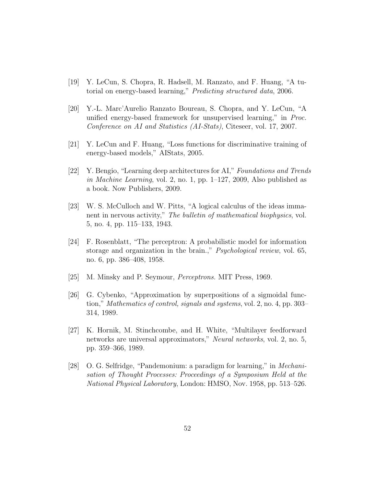- [19] Y. LeCun, S. Chopra, R. Hadsell, M. Ranzato, and F. Huang, "A tutorial on energy-based learning," Predicting structured data, 2006.
- [20] Y.-L. Marc'Aurelio Ranzato Boureau, S. Chopra, and Y. LeCun, "A unified energy-based framework for unsupervised learning," in Proc. Conference on AI and Statistics (AI-Stats), Citeseer, vol. 17, 2007.
- [21] Y. LeCun and F. Huang, "Loss functions for discriminative training of energy-based models," AIStats, 2005.
- [22] Y. Bengio, "Learning deep architectures for AI," Foundations and Trends in Machine Learning, vol. 2, no. 1, pp.  $1-127$ , 2009, Also published as a book. Now Publishers, 2009.
- <span id="page-62-0"></span>[23] W. S. McCulloch and W. Pitts, "A logical calculus of the ideas immanent in nervous activity," The bulletin of mathematical biophysics, vol. 5, no. 4, pp. 115–133, 1943.
- <span id="page-62-1"></span>[24] F. Rosenblatt, "The perceptron: A probabilistic model for information storage and organization in the brain.," *Psychological review*, vol. 65, no. 6, pp. 386–408, 1958.
- <span id="page-62-2"></span>[25] M. Minsky and P. Seymour, *Perceptrons*. MIT Press, 1969.
- <span id="page-62-3"></span>[26] G. Cybenko, "Approximation by superpositions of a sigmoidal function," Mathematics of control, signals and systems, vol. 2, no. 4, pp. 303– 314, 1989.
- <span id="page-62-4"></span>[27] K. Hornik, M. Stinchcombe, and H. White, "Multilayer feedforward networks are universal approximators," *Neural networks*, vol. 2, no. 5, pp. 359–366, 1989.
- <span id="page-62-5"></span>[28] O. G. Selfridge, "Pandemonium: a paradigm for learning," in Mechanisation of Thought Processes: Proceedings of a Symposium Held at the National Physical Laboratory, London: HMSO, Nov. 1958, pp. 513–526.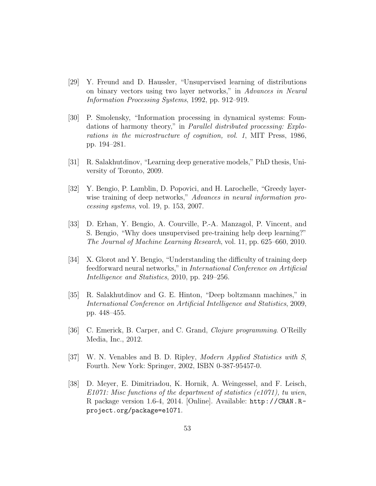- [29] Y. Freund and D. Haussler, "Unsupervised learning of distributions on binary vectors using two layer networks," in Advances in Neural Information Processing Systems, 1992, pp. 912–919.
- [30] P. Smolensky, "Information processing in dynamical systems: Foundations of harmony theory," in Parallel distributed processing: Explorations in the microstructure of cognition, vol. 1, MIT Press, 1986, pp. 194–281.
- <span id="page-63-5"></span>[31] R. Salakhutdinov, "Learning deep generative models," PhD thesis, University of Toronto, 2009.
- [32] Y. Bengio, P. Lamblin, D. Popovici, and H. Larochelle, "Greedy layerwise training of deep networks," Advances in neural information processing systems, vol. 19, p. 153, 2007.
- <span id="page-63-0"></span>[33] D. Erhan, Y. Bengio, A. Courville, P.-A. Manzagol, P. Vincent, and S. Bengio, "Why does unsupervised pre-training help deep learning?" The Journal of Machine Learning Research, vol. 11, pp. 625–660, 2010.
- <span id="page-63-1"></span>[34] X. Glorot and Y. Bengio, "Understanding the difficulty of training deep feedforward neural networks," in International Conference on Artificial Intelligence and Statistics, 2010, pp. 249–256.
- <span id="page-63-2"></span>[35] R. Salakhutdinov and G. E. Hinton, "Deep boltzmann machines," in International Conference on Artificial Intelligence and Statistics, 2009, pp. 448–455.
- [36] C. Emerick, B. Carper, and C. Grand, Clojure programming. O'Reilly Media, Inc., 2012.
- <span id="page-63-3"></span>[37] W. N. Venables and B. D. Ripley, Modern Applied Statistics with S, Fourth. New York: Springer, 2002, ISBN 0-387-95457-0.
- <span id="page-63-4"></span>[38] D. Meyer, E. Dimitriadou, K. Hornik, A. Weingessel, and F. Leisch, E1071: Misc functions of the department of statistics (e1071), tu wien, R package version 1.6-4, 2014. [Online]. Available: [http://CRAN.R](http://CRAN.R-project.org/package=e1071)[project.org/package=e1071](http://CRAN.R-project.org/package=e1071).